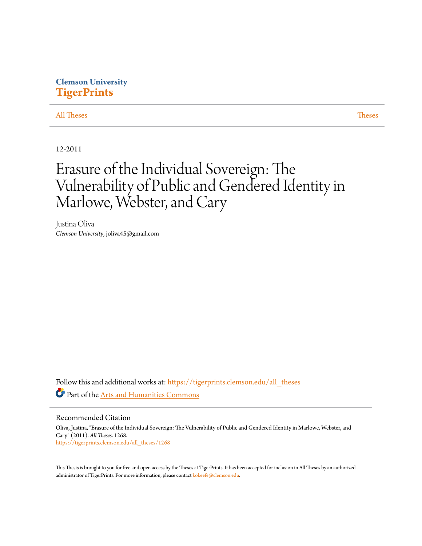## **Clemson University [TigerPrints](https://tigerprints.clemson.edu?utm_source=tigerprints.clemson.edu%2Fall_theses%2F1268&utm_medium=PDF&utm_campaign=PDFCoverPages)**

### [All Theses](https://tigerprints.clemson.edu/all_theses?utm_source=tigerprints.clemson.edu%2Fall_theses%2F1268&utm_medium=PDF&utm_campaign=PDFCoverPages) **[Theses](https://tigerprints.clemson.edu/theses?utm_source=tigerprints.clemson.edu%2Fall_theses%2F1268&utm_medium=PDF&utm_campaign=PDFCoverPages)**

12-2011

# Erasure of the Individual Sovereign: The Vulnerability of Public and Gendered Identity in Marlowe, Webster, and Cary

Justina Oliva *Clemson University*, joliva45@gmail.com

Follow this and additional works at: [https://tigerprints.clemson.edu/all\\_theses](https://tigerprints.clemson.edu/all_theses?utm_source=tigerprints.clemson.edu%2Fall_theses%2F1268&utm_medium=PDF&utm_campaign=PDFCoverPages) Part of the [Arts and Humanities Commons](http://network.bepress.com/hgg/discipline/438?utm_source=tigerprints.clemson.edu%2Fall_theses%2F1268&utm_medium=PDF&utm_campaign=PDFCoverPages)

Recommended Citation

Oliva, Justina, "Erasure of the Individual Sovereign: The Vulnerability of Public and Gendered Identity in Marlowe, Webster, and Cary" (2011). *All Theses*. 1268. [https://tigerprints.clemson.edu/all\\_theses/1268](https://tigerprints.clemson.edu/all_theses/1268?utm_source=tigerprints.clemson.edu%2Fall_theses%2F1268&utm_medium=PDF&utm_campaign=PDFCoverPages)

This Thesis is brought to you for free and open access by the Theses at TigerPrints. It has been accepted for inclusion in All Theses by an authorized administrator of TigerPrints. For more information, please contact [kokeefe@clemson.edu](mailto:kokeefe@clemson.edu).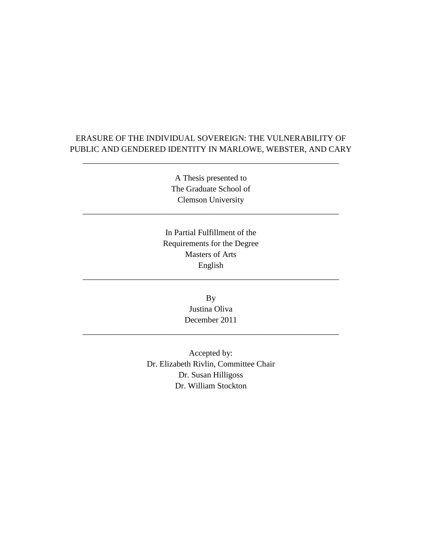## ERASURE OF THE INDIVIDUAL SOVEREIGN: THE VULNERABILITY OF PUBLIC AND GENDERED IDENTITY IN MARLOWE, WEBSTER, AND CARY

\_\_\_\_\_\_\_\_\_\_\_\_\_\_\_\_\_\_\_\_\_\_\_\_\_\_\_\_\_\_\_\_\_\_\_\_\_\_\_\_\_\_\_\_\_\_\_\_\_\_\_\_\_\_\_\_\_\_\_\_\_\_

A Thesis presented to The Graduate School of Clemson University

\_\_\_\_\_\_\_\_\_\_\_\_\_\_\_\_\_\_\_\_\_\_\_\_\_\_\_\_\_\_\_\_\_\_\_\_\_\_\_\_\_\_\_\_\_\_\_\_\_\_\_\_\_\_\_\_\_\_\_\_\_\_

In Partial Fulfillment of the Requirements for the Degree Masters of Arts English

\_\_\_\_\_\_\_\_\_\_\_\_\_\_\_\_\_\_\_\_\_\_\_\_\_\_\_\_\_\_\_\_\_\_\_\_\_\_\_\_\_\_\_\_\_\_\_\_\_\_\_\_\_\_\_\_\_\_\_\_\_\_

By Justina Oliva December 2011

\_\_\_\_\_\_\_\_\_\_\_\_\_\_\_\_\_\_\_\_\_\_\_\_\_\_\_\_\_\_\_\_\_\_\_\_\_\_\_\_\_\_\_\_\_\_\_\_\_\_\_\_\_\_\_\_\_\_\_\_\_\_

Accepted by: Dr. Elizabeth Rivlin, Committee Chair Dr. Susan Hilligoss Dr. William Stockton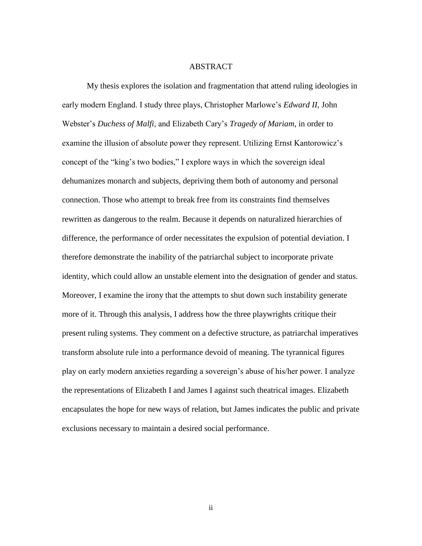#### ABSTRACT

My thesis explores the isolation and fragmentation that attend ruling ideologies in early modern England. I study three plays, Christopher Marlowe"s *Edward II*, John Webster"s *Duchess of Malfi*, and Elizabeth Cary"s *Tragedy of Mariam*, in order to examine the illusion of absolute power they represent. Utilizing Ernst Kantorowicz"s concept of the "king"s two bodies," I explore ways in which the sovereign ideal dehumanizes monarch and subjects, depriving them both of autonomy and personal connection. Those who attempt to break free from its constraints find themselves rewritten as dangerous to the realm. Because it depends on naturalized hierarchies of difference, the performance of order necessitates the expulsion of potential deviation. I therefore demonstrate the inability of the patriarchal subject to incorporate private identity, which could allow an unstable element into the designation of gender and status. Moreover, I examine the irony that the attempts to shut down such instability generate more of it. Through this analysis, I address how the three playwrights critique their present ruling systems. They comment on a defective structure, as patriarchal imperatives transform absolute rule into a performance devoid of meaning. The tyrannical figures play on early modern anxieties regarding a sovereign"s abuse of his/her power. I analyze the representations of Elizabeth I and James I against such theatrical images. Elizabeth encapsulates the hope for new ways of relation, but James indicates the public and private exclusions necessary to maintain a desired social performance.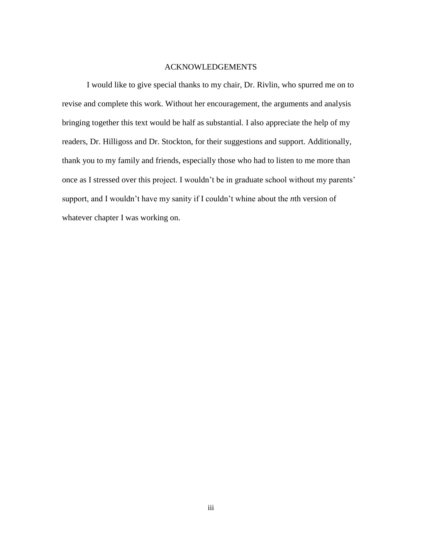### ACKNOWLEDGEMENTS

I would like to give special thanks to my chair, Dr. Rivlin, who spurred me on to revise and complete this work. Without her encouragement, the arguments and analysis bringing together this text would be half as substantial. I also appreciate the help of my readers, Dr. Hilligoss and Dr. Stockton, for their suggestions and support. Additionally, thank you to my family and friends, especially those who had to listen to me more than once as I stressed over this project. I wouldn"t be in graduate school without my parents" support, and I wouldn"t have my sanity if I couldn"t whine about the *n*th version of whatever chapter I was working on.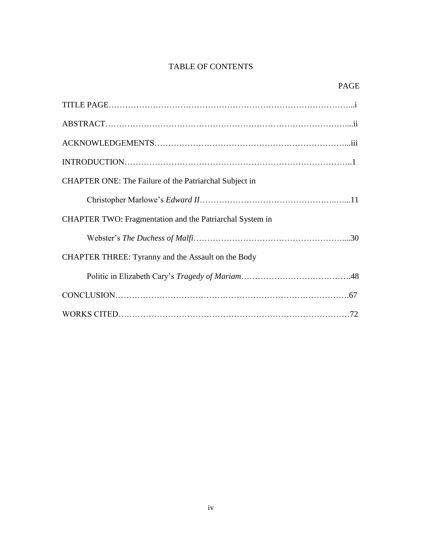## TABLE OF CONTENTS

## PAGE

| <b>CHAPTER ONE: The Failure of the Patriarchal Subject in</b> |  |
|---------------------------------------------------------------|--|
|                                                               |  |
| CHAPTER TWO: Fragmentation and the Patriarchal System in      |  |
|                                                               |  |
| CHAPTER THREE: Tyranny and the Assault on the Body            |  |
|                                                               |  |
|                                                               |  |
|                                                               |  |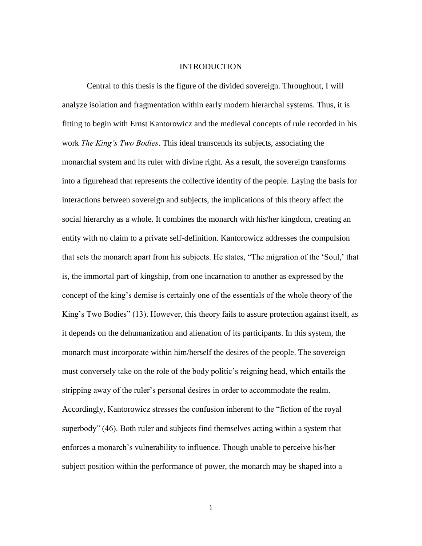#### INTRODUCTION

Central to this thesis is the figure of the divided sovereign. Throughout, I will analyze isolation and fragmentation within early modern hierarchal systems. Thus, it is fitting to begin with Ernst Kantorowicz and the medieval concepts of rule recorded in his work *The King's Two Bodies*. This ideal transcends its subjects, associating the monarchal system and its ruler with divine right. As a result, the sovereign transforms into a figurehead that represents the collective identity of the people. Laying the basis for interactions between sovereign and subjects, the implications of this theory affect the social hierarchy as a whole. It combines the monarch with his/her kingdom, creating an entity with no claim to a private self-definition. Kantorowicz addresses the compulsion that sets the monarch apart from his subjects. He states, "The migration of the "Soul," that is, the immortal part of kingship, from one incarnation to another as expressed by the concept of the king"s demise is certainly one of the essentials of the whole theory of the King's Two Bodies" (13). However, this theory fails to assure protection against itself, as it depends on the dehumanization and alienation of its participants. In this system, the monarch must incorporate within him/herself the desires of the people. The sovereign must conversely take on the role of the body politic"s reigning head, which entails the stripping away of the ruler's personal desires in order to accommodate the realm. Accordingly, Kantorowicz stresses the confusion inherent to the "fiction of the royal superbody" (46). Both ruler and subjects find themselves acting within a system that enforces a monarch's vulnerability to influence. Though unable to perceive his/her subject position within the performance of power, the monarch may be shaped into a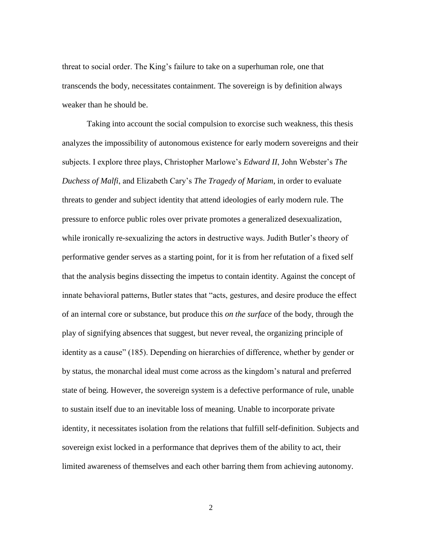threat to social order. The King"s failure to take on a superhuman role, one that transcends the body, necessitates containment. The sovereign is by definition always weaker than he should be.

Taking into account the social compulsion to exorcise such weakness, this thesis analyzes the impossibility of autonomous existence for early modern sovereigns and their subjects. I explore three plays, Christopher Marlowe"s *Edward II*, John Webster"s *The Duchess of Malfi*, and Elizabeth Cary"s *The Tragedy of Mariam*, in order to evaluate threats to gender and subject identity that attend ideologies of early modern rule. The pressure to enforce public roles over private promotes a generalized desexualization, while ironically re-sexualizing the actors in destructive ways. Judith Butler's theory of performative gender serves as a starting point, for it is from her refutation of a fixed self that the analysis begins dissecting the impetus to contain identity. Against the concept of innate behavioral patterns, Butler states that "acts, gestures, and desire produce the effect of an internal core or substance, but produce this *on the surface* of the body, through the play of signifying absences that suggest, but never reveal, the organizing principle of identity as a cause" (185). Depending on hierarchies of difference, whether by gender or by status, the monarchal ideal must come across as the kingdom"s natural and preferred state of being. However, the sovereign system is a defective performance of rule, unable to sustain itself due to an inevitable loss of meaning. Unable to incorporate private identity, it necessitates isolation from the relations that fulfill self-definition. Subjects and sovereign exist locked in a performance that deprives them of the ability to act, their limited awareness of themselves and each other barring them from achieving autonomy.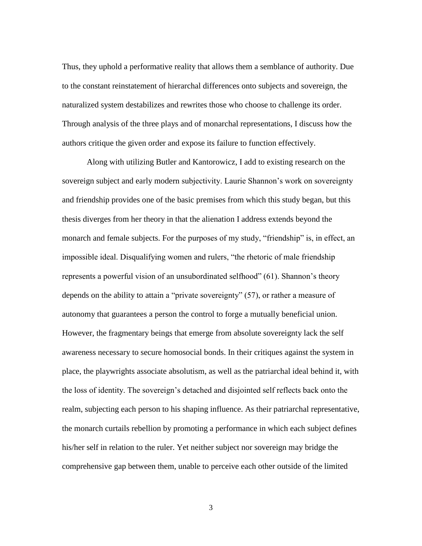Thus, they uphold a performative reality that allows them a semblance of authority. Due to the constant reinstatement of hierarchal differences onto subjects and sovereign, the naturalized system destabilizes and rewrites those who choose to challenge its order. Through analysis of the three plays and of monarchal representations, I discuss how the authors critique the given order and expose its failure to function effectively.

Along with utilizing Butler and Kantorowicz, I add to existing research on the sovereign subject and early modern subjectivity. Laurie Shannon"s work on sovereignty and friendship provides one of the basic premises from which this study began, but this thesis diverges from her theory in that the alienation I address extends beyond the monarch and female subjects. For the purposes of my study, "friendship" is, in effect, an impossible ideal. Disqualifying women and rulers, "the rhetoric of male friendship represents a powerful vision of an unsubordinated selfhood" (61). Shannon's theory depends on the ability to attain a "private sovereignty" (57), or rather a measure of autonomy that guarantees a person the control to forge a mutually beneficial union. However, the fragmentary beings that emerge from absolute sovereignty lack the self awareness necessary to secure homosocial bonds. In their critiques against the system in place, the playwrights associate absolutism, as well as the patriarchal ideal behind it, with the loss of identity. The sovereign"s detached and disjointed self reflects back onto the realm, subjecting each person to his shaping influence. As their patriarchal representative, the monarch curtails rebellion by promoting a performance in which each subject defines his/her self in relation to the ruler. Yet neither subject nor sovereign may bridge the comprehensive gap between them, unable to perceive each other outside of the limited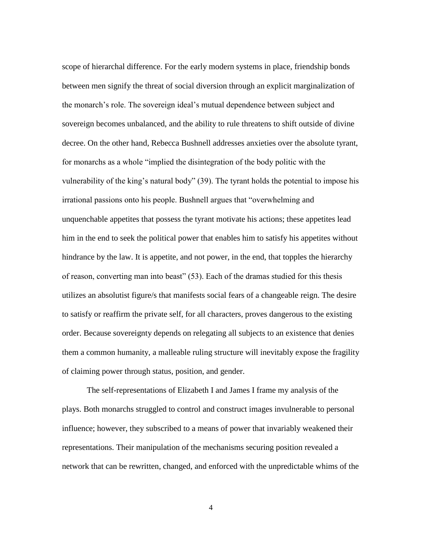scope of hierarchal difference. For the early modern systems in place, friendship bonds between men signify the threat of social diversion through an explicit marginalization of the monarch"s role. The sovereign ideal"s mutual dependence between subject and sovereign becomes unbalanced, and the ability to rule threatens to shift outside of divine decree. On the other hand, Rebecca Bushnell addresses anxieties over the absolute tyrant, for monarchs as a whole "implied the disintegration of the body politic with the vulnerability of the king's natural body" (39). The tyrant holds the potential to impose his irrational passions onto his people. Bushnell argues that "overwhelming and unquenchable appetites that possess the tyrant motivate his actions; these appetites lead him in the end to seek the political power that enables him to satisfy his appetites without hindrance by the law. It is appetite, and not power, in the end, that topples the hierarchy of reason, converting man into beast" (53). Each of the dramas studied for this thesis utilizes an absolutist figure/s that manifests social fears of a changeable reign. The desire to satisfy or reaffirm the private self, for all characters, proves dangerous to the existing order. Because sovereignty depends on relegating all subjects to an existence that denies them a common humanity, a malleable ruling structure will inevitably expose the fragility of claiming power through status, position, and gender.

The self-representations of Elizabeth I and James I frame my analysis of the plays. Both monarchs struggled to control and construct images invulnerable to personal influence; however, they subscribed to a means of power that invariably weakened their representations. Their manipulation of the mechanisms securing position revealed a network that can be rewritten, changed, and enforced with the unpredictable whims of the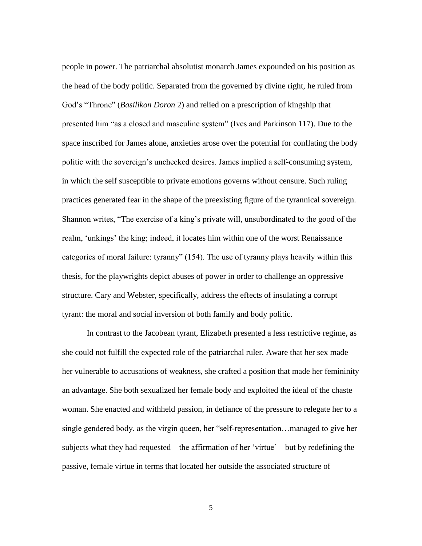people in power. The patriarchal absolutist monarch James expounded on his position as the head of the body politic. Separated from the governed by divine right, he ruled from God"s "Throne" (*Basilikon Doron* 2) and relied on a prescription of kingship that presented him "as a closed and masculine system" (Ives and Parkinson 117). Due to the space inscribed for James alone, anxieties arose over the potential for conflating the body politic with the sovereign"s unchecked desires. James implied a self-consuming system, in which the self susceptible to private emotions governs without censure. Such ruling practices generated fear in the shape of the preexisting figure of the tyrannical sovereign. Shannon writes, "The exercise of a king"s private will, unsubordinated to the good of the realm, "unkings" the king; indeed, it locates him within one of the worst Renaissance categories of moral failure: tyranny" (154). The use of tyranny plays heavily within this thesis, for the playwrights depict abuses of power in order to challenge an oppressive structure. Cary and Webster, specifically, address the effects of insulating a corrupt tyrant: the moral and social inversion of both family and body politic.

In contrast to the Jacobean tyrant, Elizabeth presented a less restrictive regime, as she could not fulfill the expected role of the patriarchal ruler. Aware that her sex made her vulnerable to accusations of weakness, she crafted a position that made her femininity an advantage. She both sexualized her female body and exploited the ideal of the chaste woman. She enacted and withheld passion, in defiance of the pressure to relegate her to a single gendered body. as the virgin queen, her "self-representation…managed to give her subjects what they had requested – the affirmation of her 'virtue' – but by redefining the passive, female virtue in terms that located her outside the associated structure of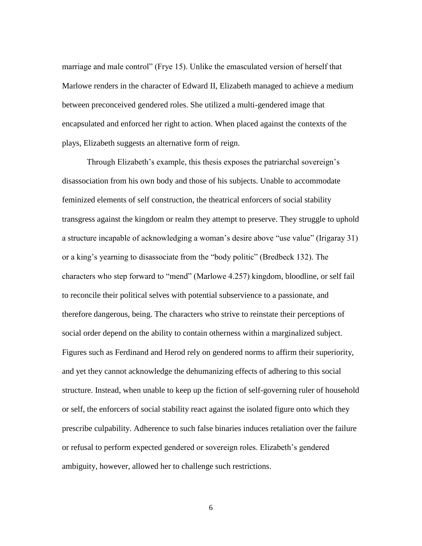marriage and male control" (Frye 15). Unlike the emasculated version of herself that Marlowe renders in the character of Edward II, Elizabeth managed to achieve a medium between preconceived gendered roles. She utilized a multi-gendered image that encapsulated and enforced her right to action. When placed against the contexts of the plays, Elizabeth suggests an alternative form of reign.

Through Elizabeth's example, this thesis exposes the patriarchal sovereign's disassociation from his own body and those of his subjects. Unable to accommodate feminized elements of self construction, the theatrical enforcers of social stability transgress against the kingdom or realm they attempt to preserve. They struggle to uphold a structure incapable of acknowledging a woman"s desire above "use value" (Irigaray 31) or a king"s yearning to disassociate from the "body politic" (Bredbeck 132). The characters who step forward to "mend" (Marlowe 4.257) kingdom, bloodline, or self fail to reconcile their political selves with potential subservience to a passionate, and therefore dangerous, being. The characters who strive to reinstate their perceptions of social order depend on the ability to contain otherness within a marginalized subject. Figures such as Ferdinand and Herod rely on gendered norms to affirm their superiority, and yet they cannot acknowledge the dehumanizing effects of adhering to this social structure. Instead, when unable to keep up the fiction of self-governing ruler of household or self, the enforcers of social stability react against the isolated figure onto which they prescribe culpability. Adherence to such false binaries induces retaliation over the failure or refusal to perform expected gendered or sovereign roles. Elizabeth"s gendered ambiguity, however, allowed her to challenge such restrictions.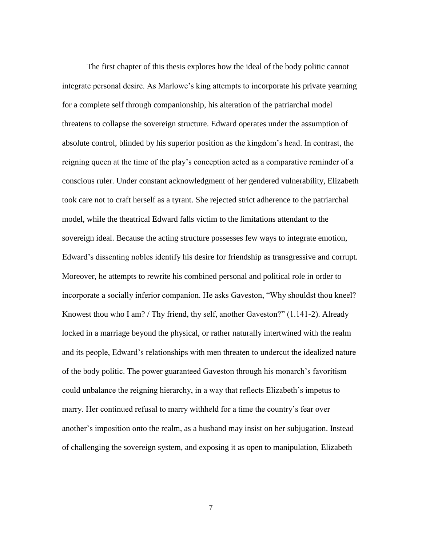The first chapter of this thesis explores how the ideal of the body politic cannot integrate personal desire. As Marlowe"s king attempts to incorporate his private yearning for a complete self through companionship, his alteration of the patriarchal model threatens to collapse the sovereign structure. Edward operates under the assumption of absolute control, blinded by his superior position as the kingdom"s head. In contrast, the reigning queen at the time of the play"s conception acted as a comparative reminder of a conscious ruler. Under constant acknowledgment of her gendered vulnerability, Elizabeth took care not to craft herself as a tyrant. She rejected strict adherence to the patriarchal model, while the theatrical Edward falls victim to the limitations attendant to the sovereign ideal. Because the acting structure possesses few ways to integrate emotion, Edward"s dissenting nobles identify his desire for friendship as transgressive and corrupt. Moreover, he attempts to rewrite his combined personal and political role in order to incorporate a socially inferior companion. He asks Gaveston, "Why shouldst thou kneel? Knowest thou who I am? / Thy friend, thy self, another Gaveston?" (1.141-2). Already locked in a marriage beyond the physical, or rather naturally intertwined with the realm and its people, Edward"s relationships with men threaten to undercut the idealized nature of the body politic. The power guaranteed Gaveston through his monarch"s favoritism could unbalance the reigning hierarchy, in a way that reflects Elizabeth"s impetus to marry. Her continued refusal to marry withheld for a time the country"s fear over another"s imposition onto the realm, as a husband may insist on her subjugation. Instead of challenging the sovereign system, and exposing it as open to manipulation, Elizabeth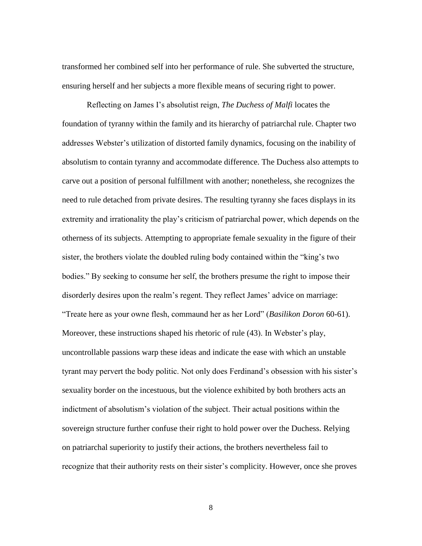transformed her combined self into her performance of rule. She subverted the structure, ensuring herself and her subjects a more flexible means of securing right to power.

Reflecting on James I"s absolutist reign, *The Duchess of Malfi* locates the foundation of tyranny within the family and its hierarchy of patriarchal rule. Chapter two addresses Webster"s utilization of distorted family dynamics, focusing on the inability of absolutism to contain tyranny and accommodate difference. The Duchess also attempts to carve out a position of personal fulfillment with another; nonetheless, she recognizes the need to rule detached from private desires. The resulting tyranny she faces displays in its extremity and irrationality the play's criticism of patriarchal power, which depends on the otherness of its subjects. Attempting to appropriate female sexuality in the figure of their sister, the brothers violate the doubled ruling body contained within the "king"s two bodies." By seeking to consume her self, the brothers presume the right to impose their disorderly desires upon the realm's regent. They reflect James' advice on marriage: "Treate here as your owne flesh, commaund her as her Lord" (*Basilikon Doron* 60-61). Moreover, these instructions shaped his rhetoric of rule (43). In Webster"s play, uncontrollable passions warp these ideas and indicate the ease with which an unstable tyrant may pervert the body politic. Not only does Ferdinand's obsession with his sister's sexuality border on the incestuous, but the violence exhibited by both brothers acts an indictment of absolutism"s violation of the subject. Their actual positions within the sovereign structure further confuse their right to hold power over the Duchess. Relying on patriarchal superiority to justify their actions, the brothers nevertheless fail to recognize that their authority rests on their sister's complicity. However, once she proves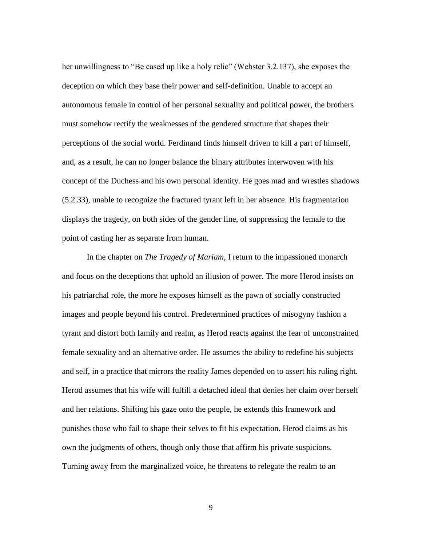her unwillingness to "Be cased up like a holy relic" (Webster 3.2.137), she exposes the deception on which they base their power and self-definition. Unable to accept an autonomous female in control of her personal sexuality and political power, the brothers must somehow rectify the weaknesses of the gendered structure that shapes their perceptions of the social world. Ferdinand finds himself driven to kill a part of himself, and, as a result, he can no longer balance the binary attributes interwoven with his concept of the Duchess and his own personal identity. He goes mad and wrestles shadows (5.2.33), unable to recognize the fractured tyrant left in her absence. His fragmentation displays the tragedy, on both sides of the gender line, of suppressing the female to the point of casting her as separate from human.

In the chapter on *The Tragedy of Mariam*, I return to the impassioned monarch and focus on the deceptions that uphold an illusion of power. The more Herod insists on his patriarchal role, the more he exposes himself as the pawn of socially constructed images and people beyond his control. Predetermined practices of misogyny fashion a tyrant and distort both family and realm, as Herod reacts against the fear of unconstrained female sexuality and an alternative order. He assumes the ability to redefine his subjects and self, in a practice that mirrors the reality James depended on to assert his ruling right. Herod assumes that his wife will fulfill a detached ideal that denies her claim over herself and her relations. Shifting his gaze onto the people, he extends this framework and punishes those who fail to shape their selves to fit his expectation. Herod claims as his own the judgments of others, though only those that affirm his private suspicions. Turning away from the marginalized voice, he threatens to relegate the realm to an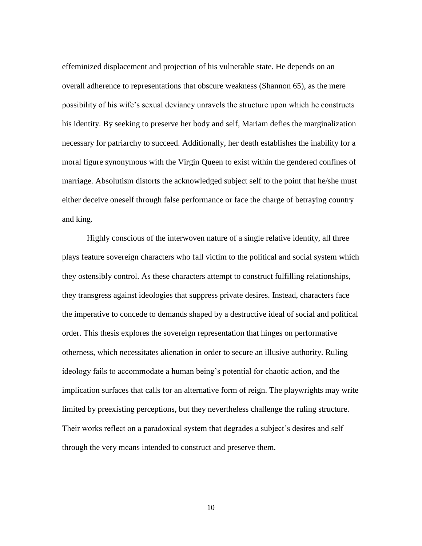effeminized displacement and projection of his vulnerable state. He depends on an overall adherence to representations that obscure weakness (Shannon 65), as the mere possibility of his wife"s sexual deviancy unravels the structure upon which he constructs his identity. By seeking to preserve her body and self, Mariam defies the marginalization necessary for patriarchy to succeed. Additionally, her death establishes the inability for a moral figure synonymous with the Virgin Queen to exist within the gendered confines of marriage. Absolutism distorts the acknowledged subject self to the point that he/she must either deceive oneself through false performance or face the charge of betraying country and king.

Highly conscious of the interwoven nature of a single relative identity, all three plays feature sovereign characters who fall victim to the political and social system which they ostensibly control. As these characters attempt to construct fulfilling relationships, they transgress against ideologies that suppress private desires. Instead, characters face the imperative to concede to demands shaped by a destructive ideal of social and political order. This thesis explores the sovereign representation that hinges on performative otherness, which necessitates alienation in order to secure an illusive authority. Ruling ideology fails to accommodate a human being's potential for chaotic action, and the implication surfaces that calls for an alternative form of reign. The playwrights may write limited by preexisting perceptions, but they nevertheless challenge the ruling structure. Their works reflect on a paradoxical system that degrades a subject's desires and self through the very means intended to construct and preserve them.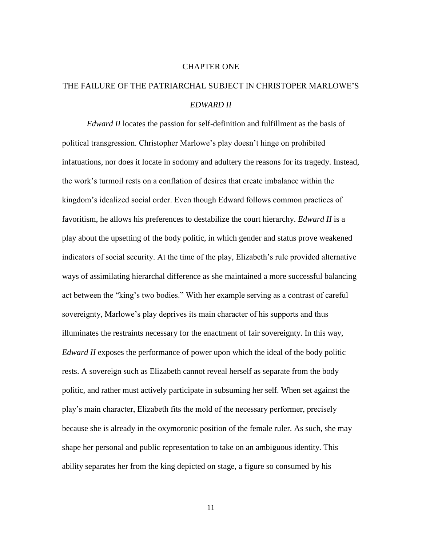#### CHAPTER ONE

## THE FAILURE OF THE PATRIARCHAL SUBJECT IN CHRISTOPER MARLOWE"S *EDWARD II*

*Edward II* locates the passion for self-definition and fulfillment as the basis of political transgression. Christopher Marlowe"s play doesn"t hinge on prohibited infatuations, nor does it locate in sodomy and adultery the reasons for its tragedy. Instead, the work"s turmoil rests on a conflation of desires that create imbalance within the kingdom"s idealized social order. Even though Edward follows common practices of favoritism, he allows his preferences to destabilize the court hierarchy. *Edward II* is a play about the upsetting of the body politic, in which gender and status prove weakened indicators of social security. At the time of the play, Elizabeth"s rule provided alternative ways of assimilating hierarchal difference as she maintained a more successful balancing act between the "king"s two bodies." With her example serving as a contrast of careful sovereignty, Marlowe's play deprives its main character of his supports and thus illuminates the restraints necessary for the enactment of fair sovereignty. In this way, *Edward II* exposes the performance of power upon which the ideal of the body politic rests. A sovereign such as Elizabeth cannot reveal herself as separate from the body politic, and rather must actively participate in subsuming her self. When set against the play"s main character, Elizabeth fits the mold of the necessary performer, precisely because she is already in the oxymoronic position of the female ruler. As such, she may shape her personal and public representation to take on an ambiguous identity. This ability separates her from the king depicted on stage, a figure so consumed by his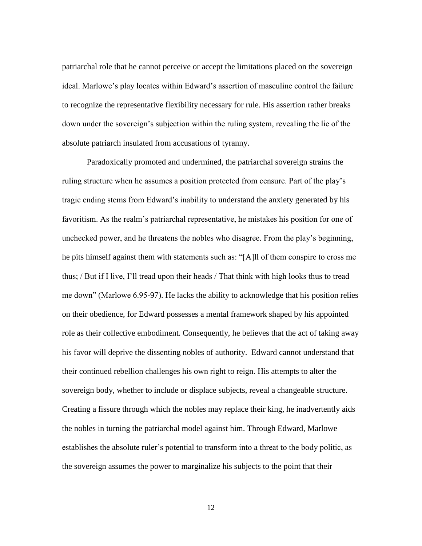patriarchal role that he cannot perceive or accept the limitations placed on the sovereign ideal. Marlowe"s play locates within Edward"s assertion of masculine control the failure to recognize the representative flexibility necessary for rule. His assertion rather breaks down under the sovereign"s subjection within the ruling system, revealing the lie of the absolute patriarch insulated from accusations of tyranny.

Paradoxically promoted and undermined, the patriarchal sovereign strains the ruling structure when he assumes a position protected from censure. Part of the play"s tragic ending stems from Edward"s inability to understand the anxiety generated by his favoritism. As the realm"s patriarchal representative, he mistakes his position for one of unchecked power, and he threatens the nobles who disagree. From the play"s beginning, he pits himself against them with statements such as: "[A]ll of them conspire to cross me thus; / But if I live, I"ll tread upon their heads / That think with high looks thus to tread me down" (Marlowe 6.95-97). He lacks the ability to acknowledge that his position relies on their obedience, for Edward possesses a mental framework shaped by his appointed role as their collective embodiment. Consequently, he believes that the act of taking away his favor will deprive the dissenting nobles of authority. Edward cannot understand that their continued rebellion challenges his own right to reign. His attempts to alter the sovereign body, whether to include or displace subjects, reveal a changeable structure. Creating a fissure through which the nobles may replace their king, he inadvertently aids the nobles in turning the patriarchal model against him. Through Edward, Marlowe establishes the absolute ruler"s potential to transform into a threat to the body politic, as the sovereign assumes the power to marginalize his subjects to the point that their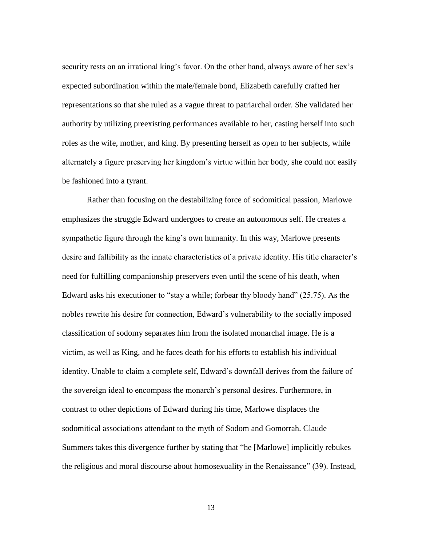security rests on an irrational king's favor. On the other hand, always aware of her sex's expected subordination within the male/female bond, Elizabeth carefully crafted her representations so that she ruled as a vague threat to patriarchal order. She validated her authority by utilizing preexisting performances available to her, casting herself into such roles as the wife, mother, and king. By presenting herself as open to her subjects, while alternately a figure preserving her kingdom"s virtue within her body, she could not easily be fashioned into a tyrant.

Rather than focusing on the destabilizing force of sodomitical passion, Marlowe emphasizes the struggle Edward undergoes to create an autonomous self. He creates a sympathetic figure through the king"s own humanity. In this way, Marlowe presents desire and fallibility as the innate characteristics of a private identity. His title character"s need for fulfilling companionship preservers even until the scene of his death, when Edward asks his executioner to "stay a while; forbear thy bloody hand" (25.75). As the nobles rewrite his desire for connection, Edward"s vulnerability to the socially imposed classification of sodomy separates him from the isolated monarchal image. He is a victim, as well as King, and he faces death for his efforts to establish his individual identity. Unable to claim a complete self, Edward"s downfall derives from the failure of the sovereign ideal to encompass the monarch"s personal desires. Furthermore, in contrast to other depictions of Edward during his time, Marlowe displaces the sodomitical associations attendant to the myth of Sodom and Gomorrah. Claude Summers takes this divergence further by stating that "he [Marlowe] implicitly rebukes the religious and moral discourse about homosexuality in the Renaissance" (39). Instead,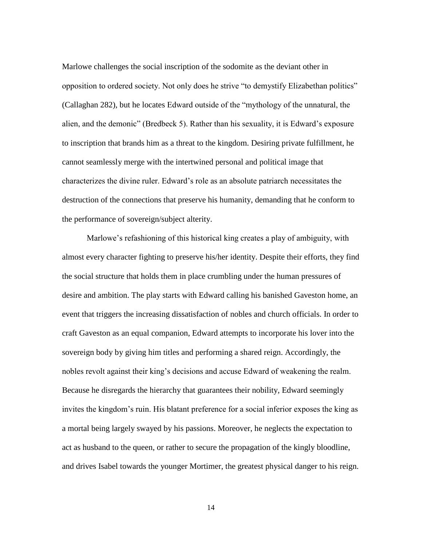Marlowe challenges the social inscription of the sodomite as the deviant other in opposition to ordered society. Not only does he strive "to demystify Elizabethan politics" (Callaghan 282), but he locates Edward outside of the "mythology of the unnatural, the alien, and the demonic" (Bredbeck 5). Rather than his sexuality, it is Edward"s exposure to inscription that brands him as a threat to the kingdom. Desiring private fulfillment, he cannot seamlessly merge with the intertwined personal and political image that characterizes the divine ruler. Edward"s role as an absolute patriarch necessitates the destruction of the connections that preserve his humanity, demanding that he conform to the performance of sovereign/subject alterity.

Marlowe"s refashioning of this historical king creates a play of ambiguity, with almost every character fighting to preserve his/her identity. Despite their efforts, they find the social structure that holds them in place crumbling under the human pressures of desire and ambition. The play starts with Edward calling his banished Gaveston home, an event that triggers the increasing dissatisfaction of nobles and church officials. In order to craft Gaveston as an equal companion, Edward attempts to incorporate his lover into the sovereign body by giving him titles and performing a shared reign. Accordingly, the nobles revolt against their king"s decisions and accuse Edward of weakening the realm. Because he disregards the hierarchy that guarantees their nobility, Edward seemingly invites the kingdom"s ruin. His blatant preference for a social inferior exposes the king as a mortal being largely swayed by his passions. Moreover, he neglects the expectation to act as husband to the queen, or rather to secure the propagation of the kingly bloodline, and drives Isabel towards the younger Mortimer, the greatest physical danger to his reign.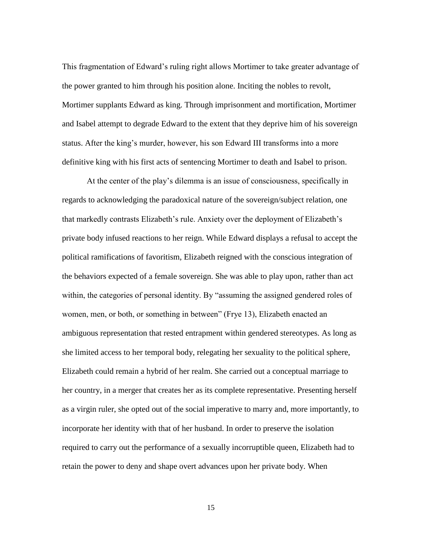This fragmentation of Edward"s ruling right allows Mortimer to take greater advantage of the power granted to him through his position alone. Inciting the nobles to revolt, Mortimer supplants Edward as king. Through imprisonment and mortification, Mortimer and Isabel attempt to degrade Edward to the extent that they deprive him of his sovereign status. After the king"s murder, however, his son Edward III transforms into a more definitive king with his first acts of sentencing Mortimer to death and Isabel to prison.

At the center of the play"s dilemma is an issue of consciousness, specifically in regards to acknowledging the paradoxical nature of the sovereign/subject relation, one that markedly contrasts Elizabeth's rule. Anxiety over the deployment of Elizabeth's private body infused reactions to her reign. While Edward displays a refusal to accept the political ramifications of favoritism, Elizabeth reigned with the conscious integration of the behaviors expected of a female sovereign. She was able to play upon, rather than act within, the categories of personal identity. By "assuming the assigned gendered roles of women, men, or both, or something in between" (Frye 13), Elizabeth enacted an ambiguous representation that rested entrapment within gendered stereotypes. As long as she limited access to her temporal body, relegating her sexuality to the political sphere, Elizabeth could remain a hybrid of her realm. She carried out a conceptual marriage to her country, in a merger that creates her as its complete representative. Presenting herself as a virgin ruler, she opted out of the social imperative to marry and, more importantly, to incorporate her identity with that of her husband. In order to preserve the isolation required to carry out the performance of a sexually incorruptible queen, Elizabeth had to retain the power to deny and shape overt advances upon her private body. When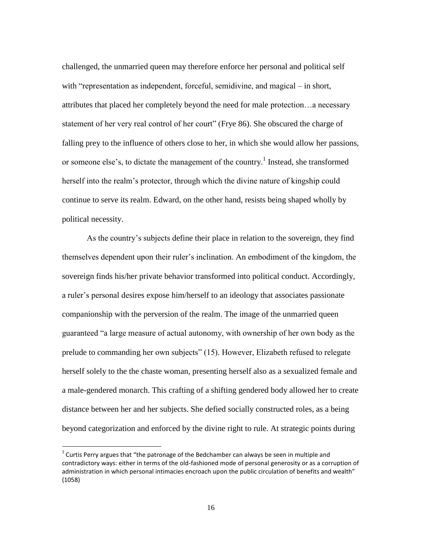challenged, the unmarried queen may therefore enforce her personal and political self with "representation as independent, forceful, semidivine, and magical – in short, attributes that placed her completely beyond the need for male protection…a necessary statement of her very real control of her court" (Frye 86). She obscured the charge of falling prey to the influence of others close to her, in which she would allow her passions, or someone else's, to dictate the management of the country.<sup>1</sup> Instead, she transformed herself into the realm"s protector, through which the divine nature of kingship could continue to serve its realm. Edward, on the other hand, resists being shaped wholly by political necessity.

As the country"s subjects define their place in relation to the sovereign, they find themselves dependent upon their ruler"s inclination. An embodiment of the kingdom, the sovereign finds his/her private behavior transformed into political conduct. Accordingly, a ruler"s personal desires expose him/herself to an ideology that associates passionate companionship with the perversion of the realm. The image of the unmarried queen guaranteed "a large measure of actual autonomy, with ownership of her own body as the prelude to commanding her own subjects" (15). However, Elizabeth refused to relegate herself solely to the the chaste woman, presenting herself also as a sexualized female and a male-gendered monarch. This crafting of a shifting gendered body allowed her to create distance between her and her subjects. She defied socially constructed roles, as a being beyond categorization and enforced by the divine right to rule. At strategic points during

 $\overline{a}$ 

 $1$  Curtis Perry argues that "the patronage of the Bedchamber can always be seen in multiple and contradictory ways: either in terms of the old-fashioned mode of personal generosity or as a corruption of administration in which personal intimacies encroach upon the public circulation of benefits and wealth" (1058)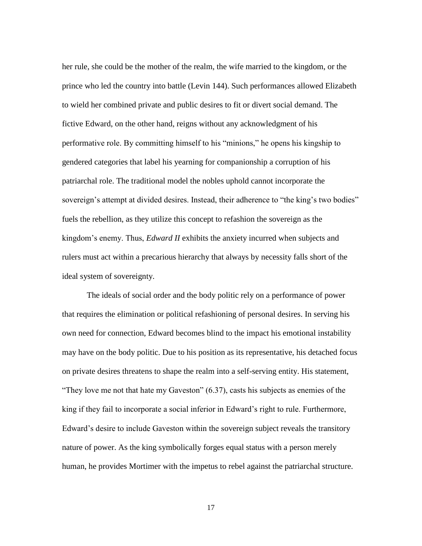her rule, she could be the mother of the realm, the wife married to the kingdom, or the prince who led the country into battle (Levin 144). Such performances allowed Elizabeth to wield her combined private and public desires to fit or divert social demand. The fictive Edward, on the other hand, reigns without any acknowledgment of his performative role. By committing himself to his "minions," he opens his kingship to gendered categories that label his yearning for companionship a corruption of his patriarchal role. The traditional model the nobles uphold cannot incorporate the sovereign's attempt at divided desires. Instead, their adherence to "the king's two bodies" fuels the rebellion, as they utilize this concept to refashion the sovereign as the kingdom"s enemy. Thus, *Edward II* exhibits the anxiety incurred when subjects and rulers must act within a precarious hierarchy that always by necessity falls short of the ideal system of sovereignty.

The ideals of social order and the body politic rely on a performance of power that requires the elimination or political refashioning of personal desires. In serving his own need for connection, Edward becomes blind to the impact his emotional instability may have on the body politic. Due to his position as its representative, his detached focus on private desires threatens to shape the realm into a self-serving entity. His statement, "They love me not that hate my Gaveston" (6.37), casts his subjects as enemies of the king if they fail to incorporate a social inferior in Edward"s right to rule. Furthermore, Edward"s desire to include Gaveston within the sovereign subject reveals the transitory nature of power. As the king symbolically forges equal status with a person merely human, he provides Mortimer with the impetus to rebel against the patriarchal structure.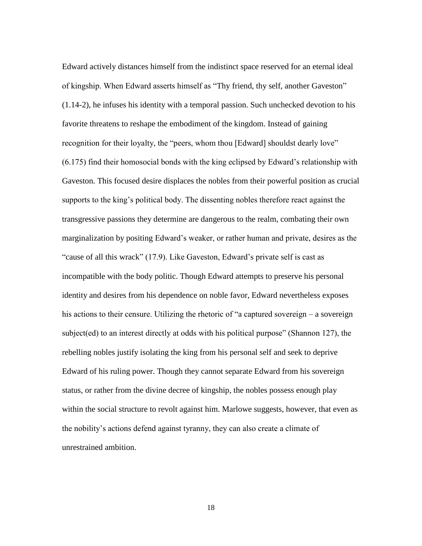Edward actively distances himself from the indistinct space reserved for an eternal ideal of kingship. When Edward asserts himself as "Thy friend, thy self, another Gaveston" (1.14-2), he infuses his identity with a temporal passion. Such unchecked devotion to his favorite threatens to reshape the embodiment of the kingdom. Instead of gaining recognition for their loyalty, the "peers, whom thou [Edward] shouldst dearly love" (6.175) find their homosocial bonds with the king eclipsed by Edward"s relationship with Gaveston. This focused desire displaces the nobles from their powerful position as crucial supports to the king's political body. The dissenting nobles therefore react against the transgressive passions they determine are dangerous to the realm, combating their own marginalization by positing Edward"s weaker, or rather human and private, desires as the "cause of all this wrack" (17.9). Like Gaveston, Edward"s private self is cast as incompatible with the body politic. Though Edward attempts to preserve his personal identity and desires from his dependence on noble favor, Edward nevertheless exposes his actions to their censure. Utilizing the rhetoric of "a captured sovereign – a sovereign subject(ed) to an interest directly at odds with his political purpose" (Shannon 127), the rebelling nobles justify isolating the king from his personal self and seek to deprive Edward of his ruling power. Though they cannot separate Edward from his sovereign status, or rather from the divine decree of kingship, the nobles possess enough play within the social structure to revolt against him. Marlowe suggests, however, that even as the nobility"s actions defend against tyranny, they can also create a climate of unrestrained ambition.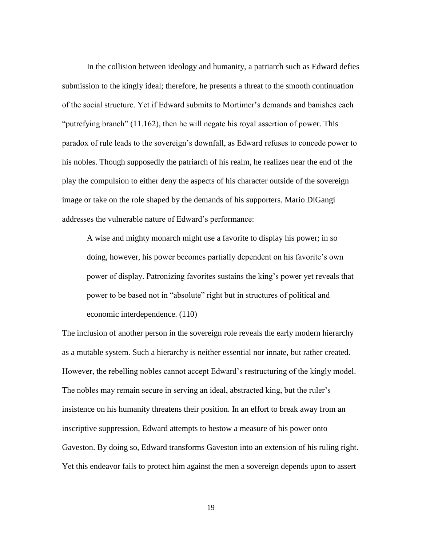In the collision between ideology and humanity, a patriarch such as Edward defies submission to the kingly ideal; therefore, he presents a threat to the smooth continuation of the social structure. Yet if Edward submits to Mortimer"s demands and banishes each "putrefying branch" (11.162), then he will negate his royal assertion of power. This paradox of rule leads to the sovereign"s downfall, as Edward refuses to concede power to his nobles. Though supposedly the patriarch of his realm, he realizes near the end of the play the compulsion to either deny the aspects of his character outside of the sovereign image or take on the role shaped by the demands of his supporters. Mario DiGangi addresses the vulnerable nature of Edward"s performance:

A wise and mighty monarch might use a favorite to display his power; in so doing, however, his power becomes partially dependent on his favorite"s own power of display. Patronizing favorites sustains the king"s power yet reveals that power to be based not in "absolute" right but in structures of political and economic interdependence. (110)

The inclusion of another person in the sovereign role reveals the early modern hierarchy as a mutable system. Such a hierarchy is neither essential nor innate, but rather created. However, the rebelling nobles cannot accept Edward's restructuring of the kingly model. The nobles may remain secure in serving an ideal, abstracted king, but the ruler's insistence on his humanity threatens their position. In an effort to break away from an inscriptive suppression, Edward attempts to bestow a measure of his power onto Gaveston. By doing so, Edward transforms Gaveston into an extension of his ruling right. Yet this endeavor fails to protect him against the men a sovereign depends upon to assert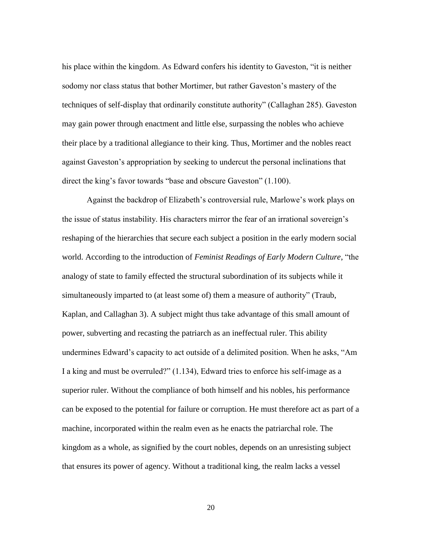his place within the kingdom. As Edward confers his identity to Gaveston, "it is neither sodomy nor class status that bother Mortimer, but rather Gaveston"s mastery of the techniques of self-display that ordinarily constitute authority" (Callaghan 285). Gaveston may gain power through enactment and little else, surpassing the nobles who achieve their place by a traditional allegiance to their king. Thus, Mortimer and the nobles react against Gaveston"s appropriation by seeking to undercut the personal inclinations that direct the king's favor towards "base and obscure Gaveston" (1.100).

Against the backdrop of Elizabeth"s controversial rule, Marlowe"s work plays on the issue of status instability. His characters mirror the fear of an irrational sovereign"s reshaping of the hierarchies that secure each subject a position in the early modern social world. According to the introduction of *Feminist Readings of Early Modern Culture*, "the analogy of state to family effected the structural subordination of its subjects while it simultaneously imparted to (at least some of) them a measure of authority" (Traub, Kaplan, and Callaghan 3). A subject might thus take advantage of this small amount of power, subverting and recasting the patriarch as an ineffectual ruler. This ability undermines Edward"s capacity to act outside of a delimited position. When he asks, "Am I a king and must be overruled?" (1.134), Edward tries to enforce his self-image as a superior ruler. Without the compliance of both himself and his nobles, his performance can be exposed to the potential for failure or corruption. He must therefore act as part of a machine, incorporated within the realm even as he enacts the patriarchal role. The kingdom as a whole, as signified by the court nobles, depends on an unresisting subject that ensures its power of agency. Without a traditional king, the realm lacks a vessel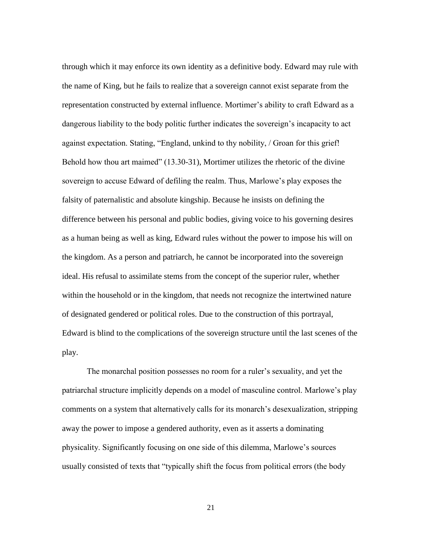through which it may enforce its own identity as a definitive body. Edward may rule with the name of King, but he fails to realize that a sovereign cannot exist separate from the representation constructed by external influence. Mortimer"s ability to craft Edward as a dangerous liability to the body politic further indicates the sovereign"s incapacity to act against expectation. Stating, "England, unkind to thy nobility, / Groan for this grief! Behold how thou art maimed" (13.30-31), Mortimer utilizes the rhetoric of the divine sovereign to accuse Edward of defiling the realm. Thus, Marlowe"s play exposes the falsity of paternalistic and absolute kingship. Because he insists on defining the difference between his personal and public bodies, giving voice to his governing desires as a human being as well as king, Edward rules without the power to impose his will on the kingdom. As a person and patriarch, he cannot be incorporated into the sovereign ideal. His refusal to assimilate stems from the concept of the superior ruler, whether within the household or in the kingdom, that needs not recognize the intertwined nature of designated gendered or political roles. Due to the construction of this portrayal, Edward is blind to the complications of the sovereign structure until the last scenes of the play.

The monarchal position possesses no room for a ruler"s sexuality, and yet the patriarchal structure implicitly depends on a model of masculine control. Marlowe"s play comments on a system that alternatively calls for its monarch"s desexualization, stripping away the power to impose a gendered authority, even as it asserts a dominating physicality. Significantly focusing on one side of this dilemma, Marlowe"s sources usually consisted of texts that "typically shift the focus from political errors (the body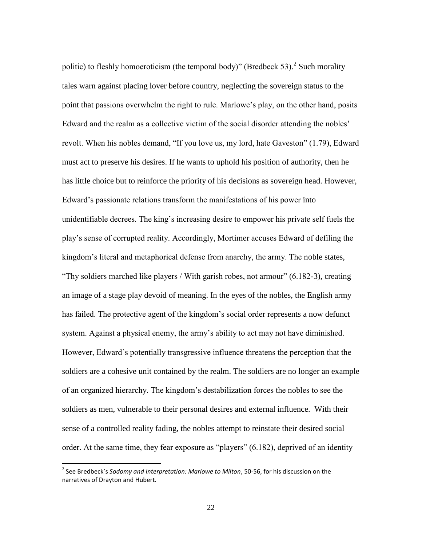politic) to fleshly homoeroticism (the temporal body)" (Bredbeck 53).<sup>2</sup> Such morality tales warn against placing lover before country, neglecting the sovereign status to the point that passions overwhelm the right to rule. Marlowe"s play, on the other hand, posits Edward and the realm as a collective victim of the social disorder attending the nobles" revolt. When his nobles demand, "If you love us, my lord, hate Gaveston" (1.79), Edward must act to preserve his desires. If he wants to uphold his position of authority, then he has little choice but to reinforce the priority of his decisions as sovereign head. However, Edward"s passionate relations transform the manifestations of his power into unidentifiable decrees. The king"s increasing desire to empower his private self fuels the play"s sense of corrupted reality. Accordingly, Mortimer accuses Edward of defiling the kingdom"s literal and metaphorical defense from anarchy, the army. The noble states, "Thy soldiers marched like players / With garish robes, not armour" (6.182-3), creating an image of a stage play devoid of meaning. In the eyes of the nobles, the English army has failed. The protective agent of the kingdom's social order represents a now defunct system. Against a physical enemy, the army's ability to act may not have diminished. However, Edward"s potentially transgressive influence threatens the perception that the soldiers are a cohesive unit contained by the realm. The soldiers are no longer an example of an organized hierarchy. The kingdom"s destabilization forces the nobles to see the soldiers as men, vulnerable to their personal desires and external influence. With their sense of a controlled reality fading, the nobles attempt to reinstate their desired social order. At the same time, they fear exposure as "players" (6.182), deprived of an identity

l

<sup>2</sup> See Bredbeck's *Sodomy and Interpretation: Marlowe to Milton*, 50-56, for his discussion on the narratives of Drayton and Hubert.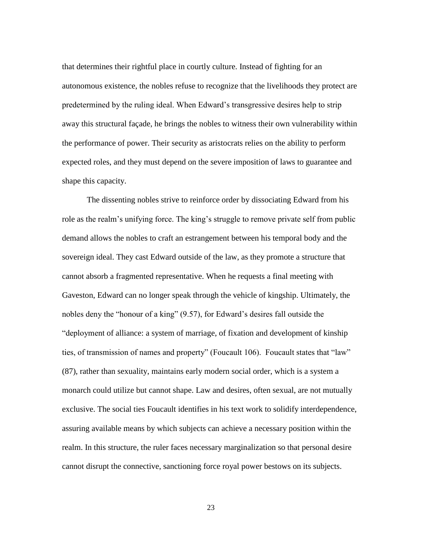that determines their rightful place in courtly culture. Instead of fighting for an autonomous existence, the nobles refuse to recognize that the livelihoods they protect are predetermined by the ruling ideal. When Edward"s transgressive desires help to strip away this structural façade, he brings the nobles to witness their own vulnerability within the performance of power. Their security as aristocrats relies on the ability to perform expected roles, and they must depend on the severe imposition of laws to guarantee and shape this capacity.

The dissenting nobles strive to reinforce order by dissociating Edward from his role as the realm's unifying force. The king's struggle to remove private self from public demand allows the nobles to craft an estrangement between his temporal body and the sovereign ideal. They cast Edward outside of the law, as they promote a structure that cannot absorb a fragmented representative. When he requests a final meeting with Gaveston, Edward can no longer speak through the vehicle of kingship. Ultimately, the nobles deny the "honour of a king" (9.57), for Edward"s desires fall outside the "deployment of alliance: a system of marriage, of fixation and development of kinship ties, of transmission of names and property" (Foucault 106). Foucault states that "law" (87), rather than sexuality, maintains early modern social order, which is a system a monarch could utilize but cannot shape. Law and desires, often sexual, are not mutually exclusive. The social ties Foucault identifies in his text work to solidify interdependence, assuring available means by which subjects can achieve a necessary position within the realm. In this structure, the ruler faces necessary marginalization so that personal desire cannot disrupt the connective, sanctioning force royal power bestows on its subjects.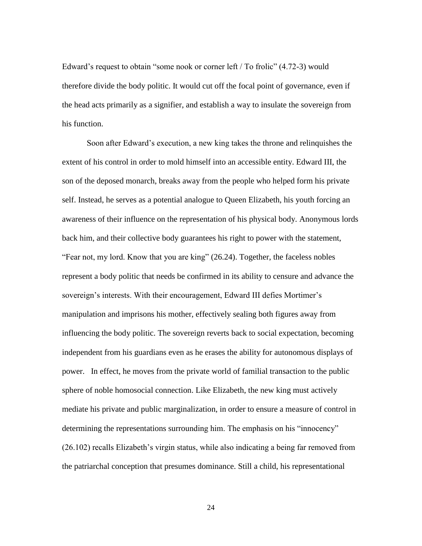Edward's request to obtain "some nook or corner left / To frolic" (4.72-3) would therefore divide the body politic. It would cut off the focal point of governance, even if the head acts primarily as a signifier, and establish a way to insulate the sovereign from his function.

Soon after Edward"s execution, a new king takes the throne and relinquishes the extent of his control in order to mold himself into an accessible entity. Edward III, the son of the deposed monarch, breaks away from the people who helped form his private self. Instead, he serves as a potential analogue to Queen Elizabeth, his youth forcing an awareness of their influence on the representation of his physical body. Anonymous lords back him, and their collective body guarantees his right to power with the statement, "Fear not, my lord. Know that you are king" (26.24). Together, the faceless nobles represent a body politic that needs be confirmed in its ability to censure and advance the sovereign's interests. With their encouragement, Edward III defies Mortimer's manipulation and imprisons his mother, effectively sealing both figures away from influencing the body politic. The sovereign reverts back to social expectation, becoming independent from his guardians even as he erases the ability for autonomous displays of power. In effect, he moves from the private world of familial transaction to the public sphere of noble homosocial connection. Like Elizabeth, the new king must actively mediate his private and public marginalization, in order to ensure a measure of control in determining the representations surrounding him. The emphasis on his "innocency" (26.102) recalls Elizabeth"s virgin status, while also indicating a being far removed from the patriarchal conception that presumes dominance. Still a child, his representational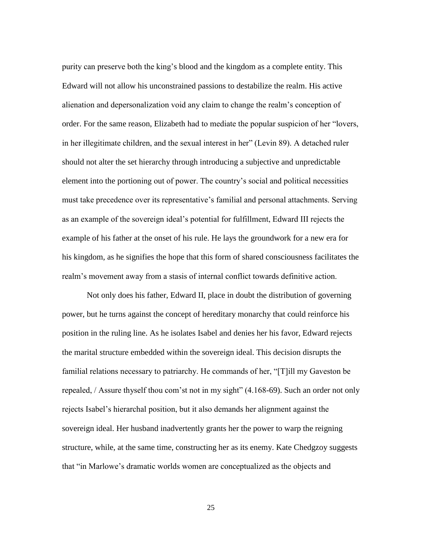purity can preserve both the king"s blood and the kingdom as a complete entity. This Edward will not allow his unconstrained passions to destabilize the realm. His active alienation and depersonalization void any claim to change the realm"s conception of order. For the same reason, Elizabeth had to mediate the popular suspicion of her "lovers, in her illegitimate children, and the sexual interest in her" (Levin 89). A detached ruler should not alter the set hierarchy through introducing a subjective and unpredictable element into the portioning out of power. The country"s social and political necessities must take precedence over its representative"s familial and personal attachments. Serving as an example of the sovereign ideal"s potential for fulfillment, Edward III rejects the example of his father at the onset of his rule. He lays the groundwork for a new era for his kingdom, as he signifies the hope that this form of shared consciousness facilitates the realm"s movement away from a stasis of internal conflict towards definitive action.

Not only does his father, Edward II, place in doubt the distribution of governing power, but he turns against the concept of hereditary monarchy that could reinforce his position in the ruling line. As he isolates Isabel and denies her his favor, Edward rejects the marital structure embedded within the sovereign ideal. This decision disrupts the familial relations necessary to patriarchy. He commands of her, "[T]ill my Gaveston be repealed, / Assure thyself thou com'st not in my sight" (4.168-69). Such an order not only rejects Isabel"s hierarchal position, but it also demands her alignment against the sovereign ideal. Her husband inadvertently grants her the power to warp the reigning structure, while, at the same time, constructing her as its enemy. Kate Chedgzoy suggests that "in Marlowe"s dramatic worlds women are conceptualized as the objects and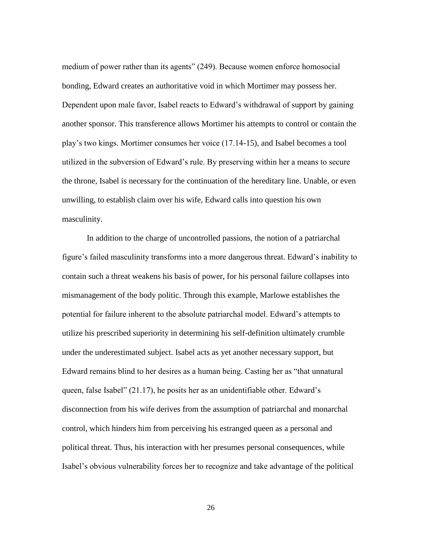medium of power rather than its agents" (249). Because women enforce homosocial bonding, Edward creates an authoritative void in which Mortimer may possess her. Dependent upon male favor, Isabel reacts to Edward's withdrawal of support by gaining another sponsor. This transference allows Mortimer his attempts to control or contain the play"s two kings. Mortimer consumes her voice (17.14-15), and Isabel becomes a tool utilized in the subversion of Edward"s rule. By preserving within her a means to secure the throne, Isabel is necessary for the continuation of the hereditary line. Unable, or even unwilling, to establish claim over his wife, Edward calls into question his own masculinity.

In addition to the charge of uncontrolled passions, the notion of a patriarchal figure"s failed masculinity transforms into a more dangerous threat. Edward"s inability to contain such a threat weakens his basis of power, for his personal failure collapses into mismanagement of the body politic. Through this example, Marlowe establishes the potential for failure inherent to the absolute patriarchal model. Edward"s attempts to utilize his prescribed superiority in determining his self-definition ultimately crumble under the underestimated subject. Isabel acts as yet another necessary support, but Edward remains blind to her desires as a human being. Casting her as "that unnatural queen, false Isabel" (21.17), he posits her as an unidentifiable other. Edward"s disconnection from his wife derives from the assumption of patriarchal and monarchal control, which hinders him from perceiving his estranged queen as a personal and political threat. Thus, his interaction with her presumes personal consequences, while Isabel"s obvious vulnerability forces her to recognize and take advantage of the political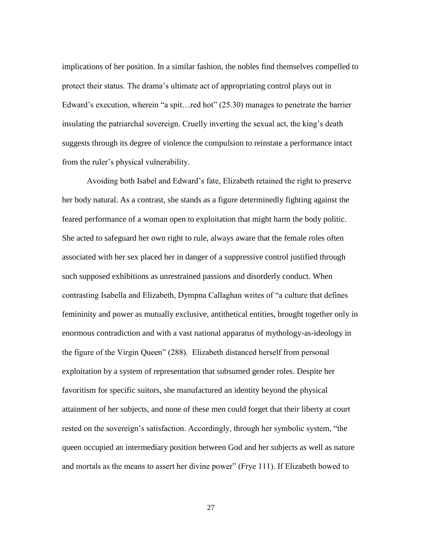implications of her position. In a similar fashion, the nobles find themselves compelled to protect their status. The drama"s ultimate act of appropriating control plays out in Edward's execution, wherein "a spit...red hot" (25.30) manages to penetrate the barrier insulating the patriarchal sovereign. Cruelly inverting the sexual act, the king"s death suggests through its degree of violence the compulsion to reinstate a performance intact from the ruler"s physical vulnerability.

Avoiding both Isabel and Edward"s fate, Elizabeth retained the right to preserve her body natural. As a contrast, she stands as a figure determinedly fighting against the feared performance of a woman open to exploitation that might harm the body politic. She acted to safeguard her own right to rule, always aware that the female roles often associated with her sex placed her in danger of a suppressive control justified through such supposed exhibitions as unrestrained passions and disorderly conduct. When contrasting Isabella and Elizabeth, Dympna Callaghan writes of "a culture that defines femininity and power as mutually exclusive, antithetical entities, brought together only in enormous contradiction and with a vast national apparatus of mythology-as-ideology in the figure of the Virgin Queen" (288). Elizabeth distanced herself from personal exploitation by a system of representation that subsumed gender roles. Despite her favoritism for specific suitors, she manufactured an identity beyond the physical attainment of her subjects, and none of these men could forget that their liberty at court rested on the sovereign's satisfaction. Accordingly, through her symbolic system, "the queen occupied an intermediary position between God and her subjects as well as nature and mortals as the means to assert her divine power" (Frye 111). If Elizabeth bowed to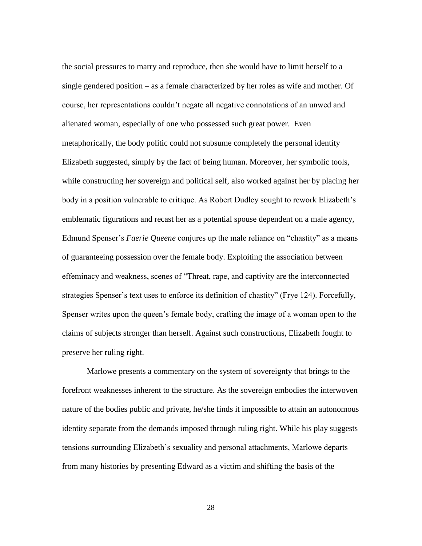the social pressures to marry and reproduce, then she would have to limit herself to a single gendered position – as a female characterized by her roles as wife and mother. Of course, her representations couldn"t negate all negative connotations of an unwed and alienated woman, especially of one who possessed such great power. Even metaphorically, the body politic could not subsume completely the personal identity Elizabeth suggested, simply by the fact of being human. Moreover, her symbolic tools, while constructing her sovereign and political self, also worked against her by placing her body in a position vulnerable to critique. As Robert Dudley sought to rework Elizabeth"s emblematic figurations and recast her as a potential spouse dependent on a male agency, Edmund Spenser"s *Faerie Queene* conjures up the male reliance on "chastity" as a means of guaranteeing possession over the female body. Exploiting the association between effeminacy and weakness, scenes of "Threat, rape, and captivity are the interconnected strategies Spenser's text uses to enforce its definition of chastity" (Frye 124). Forcefully, Spenser writes upon the queen's female body, crafting the image of a woman open to the claims of subjects stronger than herself. Against such constructions, Elizabeth fought to preserve her ruling right.

Marlowe presents a commentary on the system of sovereignty that brings to the forefront weaknesses inherent to the structure. As the sovereign embodies the interwoven nature of the bodies public and private, he/she finds it impossible to attain an autonomous identity separate from the demands imposed through ruling right. While his play suggests tensions surrounding Elizabeth"s sexuality and personal attachments, Marlowe departs from many histories by presenting Edward as a victim and shifting the basis of the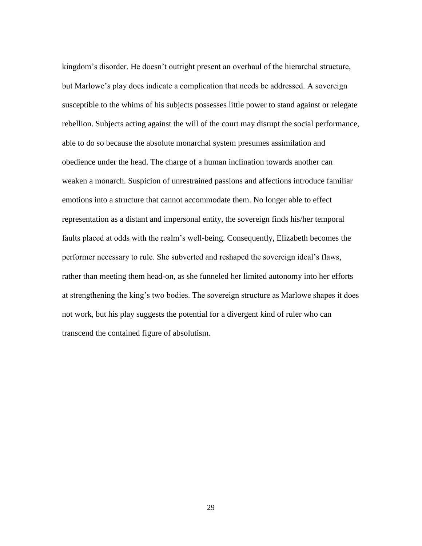kingdom"s disorder. He doesn"t outright present an overhaul of the hierarchal structure, but Marlowe"s play does indicate a complication that needs be addressed. A sovereign susceptible to the whims of his subjects possesses little power to stand against or relegate rebellion. Subjects acting against the will of the court may disrupt the social performance, able to do so because the absolute monarchal system presumes assimilation and obedience under the head. The charge of a human inclination towards another can weaken a monarch. Suspicion of unrestrained passions and affections introduce familiar emotions into a structure that cannot accommodate them. No longer able to effect representation as a distant and impersonal entity, the sovereign finds his/her temporal faults placed at odds with the realm"s well-being. Consequently, Elizabeth becomes the performer necessary to rule. She subverted and reshaped the sovereign ideal"s flaws, rather than meeting them head-on, as she funneled her limited autonomy into her efforts at strengthening the king's two bodies. The sovereign structure as Marlowe shapes it does not work, but his play suggests the potential for a divergent kind of ruler who can transcend the contained figure of absolutism.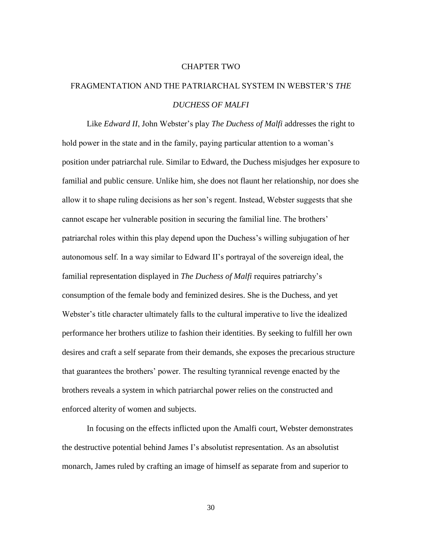#### CHAPTER TWO

## FRAGMENTATION AND THE PATRIARCHAL SYSTEM IN WEBSTER"S *THE DUCHESS OF MALFI*

Like *Edward II*, John Webster's play *The Duchess of Malfi* addresses the right to hold power in the state and in the family, paying particular attention to a woman's position under patriarchal rule. Similar to Edward, the Duchess misjudges her exposure to familial and public censure. Unlike him, she does not flaunt her relationship, nor does she allow it to shape ruling decisions as her son"s regent. Instead, Webster suggests that she cannot escape her vulnerable position in securing the familial line. The brothers" patriarchal roles within this play depend upon the Duchess"s willing subjugation of her autonomous self. In a way similar to Edward II"s portrayal of the sovereign ideal, the familial representation displayed in *The Duchess of Malfi* requires patriarchy"s consumption of the female body and feminized desires. She is the Duchess, and yet Webster's title character ultimately falls to the cultural imperative to live the idealized performance her brothers utilize to fashion their identities. By seeking to fulfill her own desires and craft a self separate from their demands, she exposes the precarious structure that guarantees the brothers" power. The resulting tyrannical revenge enacted by the brothers reveals a system in which patriarchal power relies on the constructed and enforced alterity of women and subjects.

In focusing on the effects inflicted upon the Amalfi court, Webster demonstrates the destructive potential behind James I"s absolutist representation. As an absolutist monarch, James ruled by crafting an image of himself as separate from and superior to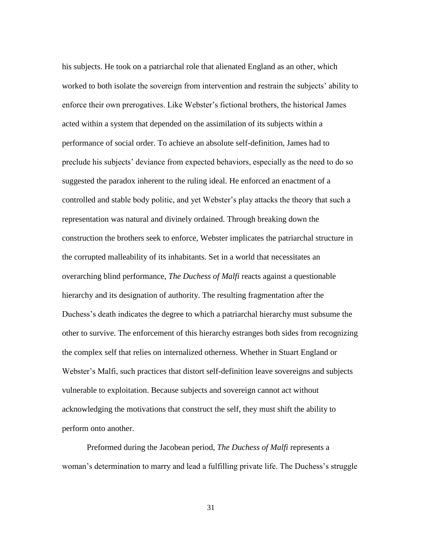his subjects. He took on a patriarchal role that alienated England as an other, which worked to both isolate the sovereign from intervention and restrain the subjects' ability to enforce their own prerogatives. Like Webster"s fictional brothers, the historical James acted within a system that depended on the assimilation of its subjects within a performance of social order. To achieve an absolute self-definition, James had to preclude his subjects" deviance from expected behaviors, especially as the need to do so suggested the paradox inherent to the ruling ideal. He enforced an enactment of a controlled and stable body politic, and yet Webster"s play attacks the theory that such a representation was natural and divinely ordained. Through breaking down the construction the brothers seek to enforce, Webster implicates the patriarchal structure in the corrupted malleability of its inhabitants. Set in a world that necessitates an overarching blind performance, *The Duchess of Malfi* reacts against a questionable hierarchy and its designation of authority. The resulting fragmentation after the Duchess's death indicates the degree to which a patriarchal hierarchy must subsume the other to survive. The enforcement of this hierarchy estranges both sides from recognizing the complex self that relies on internalized otherness. Whether in Stuart England or Webster"s Malfi, such practices that distort self-definition leave sovereigns and subjects vulnerable to exploitation. Because subjects and sovereign cannot act without acknowledging the motivations that construct the self, they must shift the ability to perform onto another.

Preformed during the Jacobean period, *The Duchess of Malfi* represents a woman's determination to marry and lead a fulfilling private life. The Duchess's struggle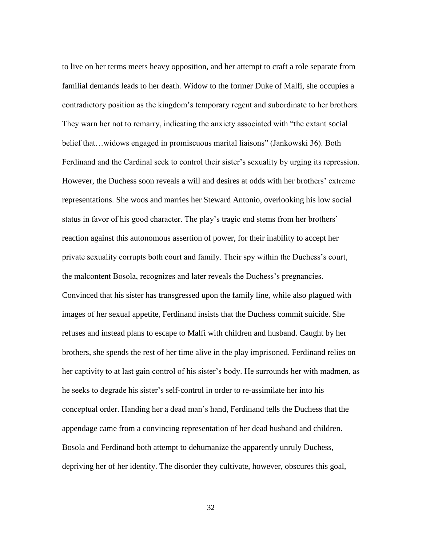to live on her terms meets heavy opposition, and her attempt to craft a role separate from familial demands leads to her death. Widow to the former Duke of Malfi, she occupies a contradictory position as the kingdom"s temporary regent and subordinate to her brothers. They warn her not to remarry, indicating the anxiety associated with "the extant social belief that…widows engaged in promiscuous marital liaisons" (Jankowski 36). Both Ferdinand and the Cardinal seek to control their sister"s sexuality by urging its repression. However, the Duchess soon reveals a will and desires at odds with her brothers" extreme representations. She woos and marries her Steward Antonio, overlooking his low social status in favor of his good character. The play's tragic end stems from her brothers' reaction against this autonomous assertion of power, for their inability to accept her private sexuality corrupts both court and family. Their spy within the Duchess"s court, the malcontent Bosola, recognizes and later reveals the Duchess"s pregnancies. Convinced that his sister has transgressed upon the family line, while also plagued with images of her sexual appetite, Ferdinand insists that the Duchess commit suicide. She refuses and instead plans to escape to Malfi with children and husband. Caught by her brothers, she spends the rest of her time alive in the play imprisoned. Ferdinand relies on her captivity to at last gain control of his sister's body. He surrounds her with madmen, as he seeks to degrade his sister's self-control in order to re-assimilate her into his conceptual order. Handing her a dead man"s hand, Ferdinand tells the Duchess that the appendage came from a convincing representation of her dead husband and children. Bosola and Ferdinand both attempt to dehumanize the apparently unruly Duchess, depriving her of her identity. The disorder they cultivate, however, obscures this goal,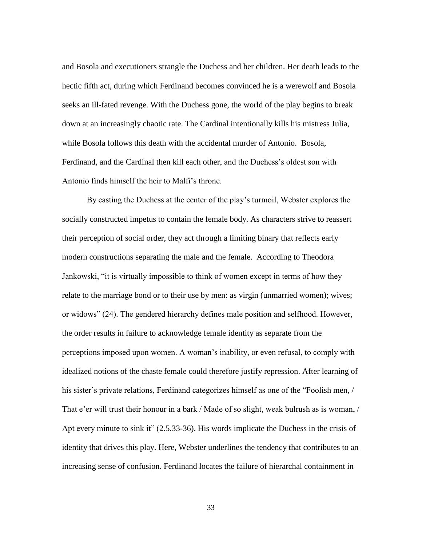and Bosola and executioners strangle the Duchess and her children. Her death leads to the hectic fifth act, during which Ferdinand becomes convinced he is a werewolf and Bosola seeks an ill-fated revenge. With the Duchess gone, the world of the play begins to break down at an increasingly chaotic rate. The Cardinal intentionally kills his mistress Julia, while Bosola follows this death with the accidental murder of Antonio. Bosola, Ferdinand, and the Cardinal then kill each other, and the Duchess's oldest son with Antonio finds himself the heir to Malfi"s throne.

By casting the Duchess at the center of the play"s turmoil, Webster explores the socially constructed impetus to contain the female body. As characters strive to reassert their perception of social order, they act through a limiting binary that reflects early modern constructions separating the male and the female. According to Theodora Jankowski, "it is virtually impossible to think of women except in terms of how they relate to the marriage bond or to their use by men: as virgin (unmarried women); wives; or widows" (24). The gendered hierarchy defines male position and selfhood. However, the order results in failure to acknowledge female identity as separate from the perceptions imposed upon women. A woman"s inability, or even refusal, to comply with idealized notions of the chaste female could therefore justify repression. After learning of his sister's private relations, Ferdinand categorizes himself as one of the "Foolish men, / That e'er will trust their honour in a bark / Made of so slight, weak bulrush as is woman, / Apt every minute to sink it" (2.5.33-36). His words implicate the Duchess in the crisis of identity that drives this play. Here, Webster underlines the tendency that contributes to an increasing sense of confusion. Ferdinand locates the failure of hierarchal containment in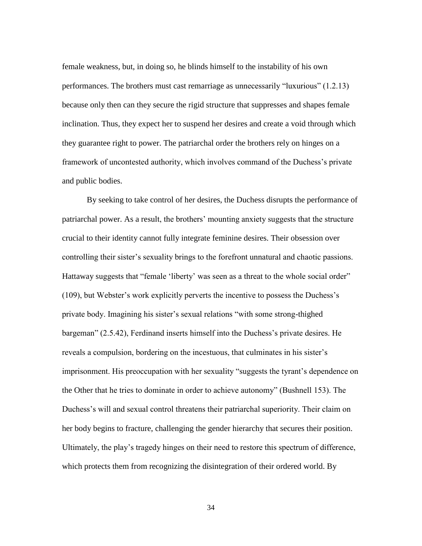female weakness, but, in doing so, he blinds himself to the instability of his own performances. The brothers must cast remarriage as unnecessarily "luxurious" (1.2.13) because only then can they secure the rigid structure that suppresses and shapes female inclination. Thus, they expect her to suspend her desires and create a void through which they guarantee right to power. The patriarchal order the brothers rely on hinges on a framework of uncontested authority, which involves command of the Duchess"s private and public bodies.

By seeking to take control of her desires, the Duchess disrupts the performance of patriarchal power. As a result, the brothers' mounting anxiety suggests that the structure crucial to their identity cannot fully integrate feminine desires. Their obsession over controlling their sister"s sexuality brings to the forefront unnatural and chaotic passions. Hattaway suggests that "female 'liberty' was seen as a threat to the whole social order" (109), but Webster's work explicitly perverts the incentive to possess the Duchess's private body. Imagining his sister"s sexual relations "with some strong-thighed bargeman" (2.5.42), Ferdinand inserts himself into the Duchess"s private desires. He reveals a compulsion, bordering on the incestuous, that culminates in his sister's imprisonment. His preoccupation with her sexuality "suggests the tyrant's dependence on the Other that he tries to dominate in order to achieve autonomy" (Bushnell 153). The Duchess"s will and sexual control threatens their patriarchal superiority. Their claim on her body begins to fracture, challenging the gender hierarchy that secures their position. Ultimately, the play"s tragedy hinges on their need to restore this spectrum of difference, which protects them from recognizing the disintegration of their ordered world. By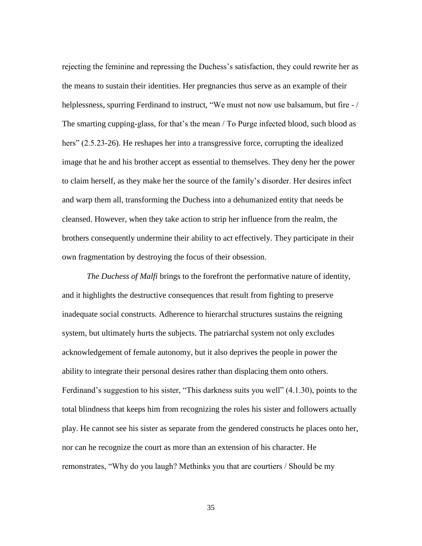rejecting the feminine and repressing the Duchess's satisfaction, they could rewrite her as the means to sustain their identities. Her pregnancies thus serve as an example of their helplessness, spurring Ferdinand to instruct, "We must not now use balsamum, but fire -/ The smarting cupping-glass, for that's the mean / To Purge infected blood, such blood as hers" (2.5.23-26). He reshapes her into a transgressive force, corrupting the idealized image that he and his brother accept as essential to themselves. They deny her the power to claim herself, as they make her the source of the family"s disorder. Her desires infect and warp them all, transforming the Duchess into a dehumanized entity that needs be cleansed. However, when they take action to strip her influence from the realm, the brothers consequently undermine their ability to act effectively. They participate in their own fragmentation by destroying the focus of their obsession.

*The Duchess of Malfi* brings to the forefront the performative nature of identity, and it highlights the destructive consequences that result from fighting to preserve inadequate social constructs. Adherence to hierarchal structures sustains the reigning system, but ultimately hurts the subjects. The patriarchal system not only excludes acknowledgement of female autonomy, but it also deprives the people in power the ability to integrate their personal desires rather than displacing them onto others. Ferdinand's suggestion to his sister, "This darkness suits you well" (4.1.30), points to the total blindness that keeps him from recognizing the roles his sister and followers actually play. He cannot see his sister as separate from the gendered constructs he places onto her, nor can he recognize the court as more than an extension of his character. He remonstrates, "Why do you laugh? Methinks you that are courtiers / Should be my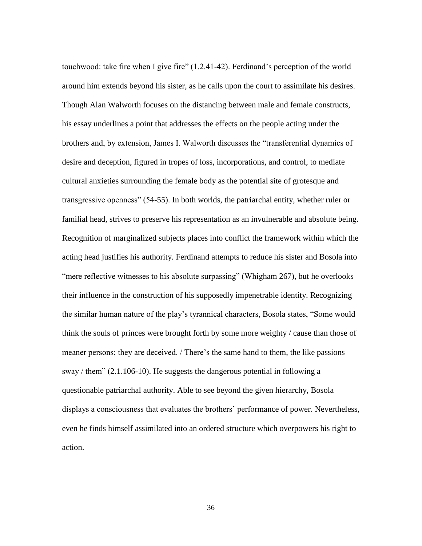touchwood: take fire when I give fire" (1.2.41-42). Ferdinand"s perception of the world around him extends beyond his sister, as he calls upon the court to assimilate his desires. Though Alan Walworth focuses on the distancing between male and female constructs, his essay underlines a point that addresses the effects on the people acting under the brothers and, by extension, James I. Walworth discusses the "transferential dynamics of desire and deception, figured in tropes of loss, incorporations, and control, to mediate cultural anxieties surrounding the female body as the potential site of grotesque and transgressive openness" (54-55). In both worlds, the patriarchal entity, whether ruler or familial head, strives to preserve his representation as an invulnerable and absolute being. Recognition of marginalized subjects places into conflict the framework within which the acting head justifies his authority. Ferdinand attempts to reduce his sister and Bosola into "mere reflective witnesses to his absolute surpassing" (Whigham 267), but he overlooks their influence in the construction of his supposedly impenetrable identity. Recognizing the similar human nature of the play"s tyrannical characters, Bosola states, "Some would think the souls of princes were brought forth by some more weighty / cause than those of meaner persons; they are deceived. / There"s the same hand to them, the like passions sway / them" (2.1.106-10). He suggests the dangerous potential in following a questionable patriarchal authority. Able to see beyond the given hierarchy, Bosola displays a consciousness that evaluates the brothers' performance of power. Nevertheless, even he finds himself assimilated into an ordered structure which overpowers his right to action.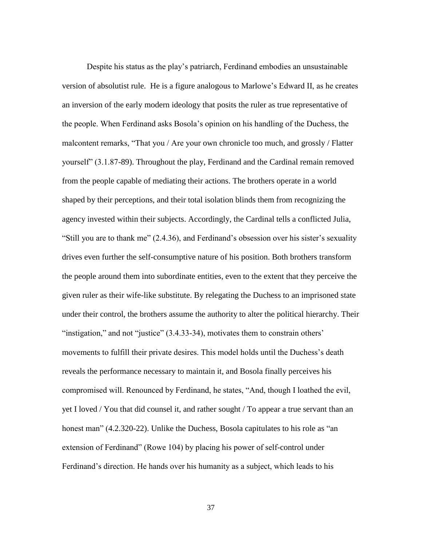Despite his status as the play"s patriarch, Ferdinand embodies an unsustainable version of absolutist rule. He is a figure analogous to Marlowe"s Edward II, as he creates an inversion of the early modern ideology that posits the ruler as true representative of the people. When Ferdinand asks Bosola"s opinion on his handling of the Duchess, the malcontent remarks, "That you / Are your own chronicle too much, and grossly / Flatter yourself" (3.1.87-89). Throughout the play, Ferdinand and the Cardinal remain removed from the people capable of mediating their actions. The brothers operate in a world shaped by their perceptions, and their total isolation blinds them from recognizing the agency invested within their subjects. Accordingly, the Cardinal tells a conflicted Julia, "Still you are to thank me"  $(2.4.36)$ , and Ferdinand's obsession over his sister's sexuality drives even further the self-consumptive nature of his position. Both brothers transform the people around them into subordinate entities, even to the extent that they perceive the given ruler as their wife-like substitute. By relegating the Duchess to an imprisoned state under their control, the brothers assume the authority to alter the political hierarchy. Their "instigation," and not "justice" (3.4.33-34), motivates them to constrain others' movements to fulfill their private desires. This model holds until the Duchess"s death reveals the performance necessary to maintain it, and Bosola finally perceives his compromised will. Renounced by Ferdinand, he states, "And, though I loathed the evil, yet I loved / You that did counsel it, and rather sought / To appear a true servant than an honest man" (4.2.320-22). Unlike the Duchess, Bosola capitulates to his role as "an extension of Ferdinand" (Rowe 104) by placing his power of self-control under Ferdinand's direction. He hands over his humanity as a subject, which leads to his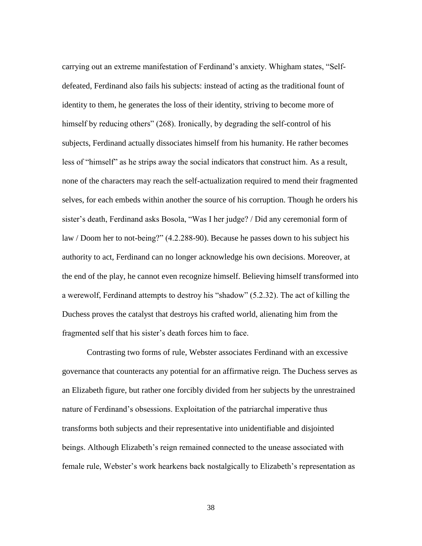carrying out an extreme manifestation of Ferdinand"s anxiety. Whigham states, "Selfdefeated, Ferdinand also fails his subjects: instead of acting as the traditional fount of identity to them, he generates the loss of their identity, striving to become more of himself by reducing others" (268). Ironically, by degrading the self-control of his subjects, Ferdinand actually dissociates himself from his humanity. He rather becomes less of "himself" as he strips away the social indicators that construct him. As a result, none of the characters may reach the self-actualization required to mend their fragmented selves, for each embeds within another the source of his corruption. Though he orders his sister's death, Ferdinand asks Bosola, "Was I her judge? / Did any ceremonial form of law / Doom her to not-being?" (4.2.288-90). Because he passes down to his subject his authority to act, Ferdinand can no longer acknowledge his own decisions. Moreover, at the end of the play, he cannot even recognize himself. Believing himself transformed into a werewolf, Ferdinand attempts to destroy his "shadow" (5.2.32). The act of killing the Duchess proves the catalyst that destroys his crafted world, alienating him from the fragmented self that his sister's death forces him to face.

Contrasting two forms of rule, Webster associates Ferdinand with an excessive governance that counteracts any potential for an affirmative reign. The Duchess serves as an Elizabeth figure, but rather one forcibly divided from her subjects by the unrestrained nature of Ferdinand"s obsessions. Exploitation of the patriarchal imperative thus transforms both subjects and their representative into unidentifiable and disjointed beings. Although Elizabeth"s reign remained connected to the unease associated with female rule, Webster's work hearkens back nostalgically to Elizabeth's representation as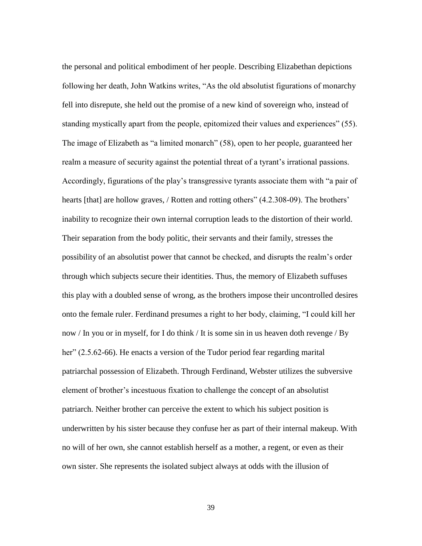the personal and political embodiment of her people. Describing Elizabethan depictions following her death, John Watkins writes, "As the old absolutist figurations of monarchy fell into disrepute, she held out the promise of a new kind of sovereign who, instead of standing mystically apart from the people, epitomized their values and experiences" (55). The image of Elizabeth as "a limited monarch" (58), open to her people, guaranteed her realm a measure of security against the potential threat of a tyrant"s irrational passions. Accordingly, figurations of the play"s transgressive tyrants associate them with "a pair of hearts [that] are hollow graves, / Rotten and rotting others" (4.2.308-09). The brothers' inability to recognize their own internal corruption leads to the distortion of their world. Their separation from the body politic, their servants and their family, stresses the possibility of an absolutist power that cannot be checked, and disrupts the realm"s order through which subjects secure their identities. Thus, the memory of Elizabeth suffuses this play with a doubled sense of wrong, as the brothers impose their uncontrolled desires onto the female ruler. Ferdinand presumes a right to her body, claiming, "I could kill her now / In you or in myself, for I do think / It is some sin in us heaven doth revenge / By her" (2.5.62-66). He enacts a version of the Tudor period fear regarding marital patriarchal possession of Elizabeth. Through Ferdinand, Webster utilizes the subversive element of brother"s incestuous fixation to challenge the concept of an absolutist patriarch. Neither brother can perceive the extent to which his subject position is underwritten by his sister because they confuse her as part of their internal makeup. With no will of her own, she cannot establish herself as a mother, a regent, or even as their own sister. She represents the isolated subject always at odds with the illusion of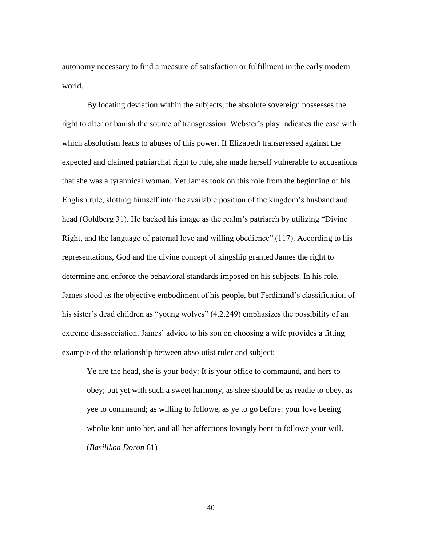autonomy necessary to find a measure of satisfaction or fulfillment in the early modern world.

By locating deviation within the subjects, the absolute sovereign possesses the right to alter or banish the source of transgression. Webster"s play indicates the ease with which absolutism leads to abuses of this power. If Elizabeth transgressed against the expected and claimed patriarchal right to rule, she made herself vulnerable to accusations that she was a tyrannical woman. Yet James took on this role from the beginning of his English rule, slotting himself into the available position of the kingdom"s husband and head (Goldberg 31). He backed his image as the realm"s patriarch by utilizing "Divine Right, and the language of paternal love and willing obedience" (117). According to his representations, God and the divine concept of kingship granted James the right to determine and enforce the behavioral standards imposed on his subjects. In his role, James stood as the objective embodiment of his people, but Ferdinand"s classification of his sister's dead children as "young wolves" (4.2.249) emphasizes the possibility of an extreme disassociation. James' advice to his son on choosing a wife provides a fitting example of the relationship between absolutist ruler and subject:

Ye are the head, she is your body: It is your office to commaund, and hers to obey; but yet with such a sweet harmony, as shee should be as readie to obey, as yee to commaund; as willing to followe, as ye to go before: your love beeing wholie knit unto her, and all her affections lovingly bent to followe your will. (*Basilikon Doron* 61)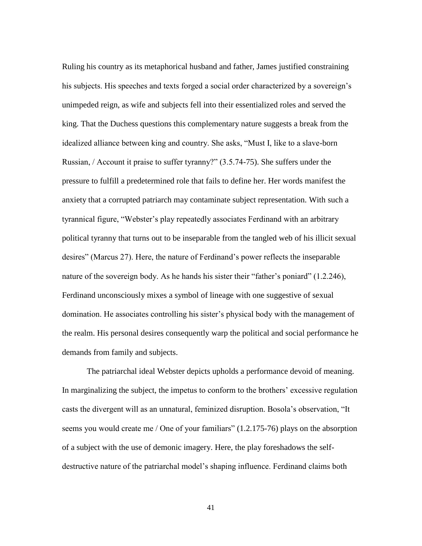Ruling his country as its metaphorical husband and father, James justified constraining his subjects. His speeches and texts forged a social order characterized by a sovereign's unimpeded reign, as wife and subjects fell into their essentialized roles and served the king. That the Duchess questions this complementary nature suggests a break from the idealized alliance between king and country. She asks, "Must I, like to a slave-born Russian, / Account it praise to suffer tyranny?" (3.5.74-75). She suffers under the pressure to fulfill a predetermined role that fails to define her. Her words manifest the anxiety that a corrupted patriarch may contaminate subject representation. With such a tyrannical figure, "Webster"s play repeatedly associates Ferdinand with an arbitrary political tyranny that turns out to be inseparable from the tangled web of his illicit sexual desires" (Marcus 27). Here, the nature of Ferdinand"s power reflects the inseparable nature of the sovereign body. As he hands his sister their "father's poniard" (1.2.246), Ferdinand unconsciously mixes a symbol of lineage with one suggestive of sexual domination. He associates controlling his sister's physical body with the management of the realm. His personal desires consequently warp the political and social performance he demands from family and subjects.

The patriarchal ideal Webster depicts upholds a performance devoid of meaning. In marginalizing the subject, the impetus to conform to the brothers' excessive regulation casts the divergent will as an unnatural, feminized disruption. Bosola"s observation, "It seems you would create me / One of your familiars" (1.2.175-76) plays on the absorption of a subject with the use of demonic imagery. Here, the play foreshadows the selfdestructive nature of the patriarchal model's shaping influence. Ferdinand claims both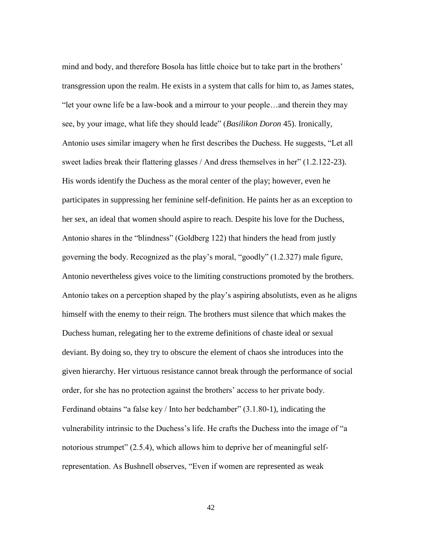mind and body, and therefore Bosola has little choice but to take part in the brothers' transgression upon the realm. He exists in a system that calls for him to, as James states, "let your owne life be a law-book and a mirrour to your people…and therein they may see, by your image, what life they should leade" (*Basilikon Doron* 45). Ironically, Antonio uses similar imagery when he first describes the Duchess. He suggests, "Let all sweet ladies break their flattering glasses / And dress themselves in her" (1.2.122-23). His words identify the Duchess as the moral center of the play; however, even he participates in suppressing her feminine self-definition. He paints her as an exception to her sex, an ideal that women should aspire to reach. Despite his love for the Duchess, Antonio shares in the "blindness" (Goldberg 122) that hinders the head from justly governing the body. Recognized as the play"s moral, "goodly" (1.2.327) male figure, Antonio nevertheless gives voice to the limiting constructions promoted by the brothers. Antonio takes on a perception shaped by the play"s aspiring absolutists, even as he aligns himself with the enemy to their reign. The brothers must silence that which makes the Duchess human, relegating her to the extreme definitions of chaste ideal or sexual deviant. By doing so, they try to obscure the element of chaos she introduces into the given hierarchy. Her virtuous resistance cannot break through the performance of social order, for she has no protection against the brothers' access to her private body. Ferdinand obtains "a false key / Into her bedchamber" (3.1.80-1), indicating the vulnerability intrinsic to the Duchess"s life. He crafts the Duchess into the image of "a notorious strumpet" (2.5.4), which allows him to deprive her of meaningful selfrepresentation. As Bushnell observes, "Even if women are represented as weak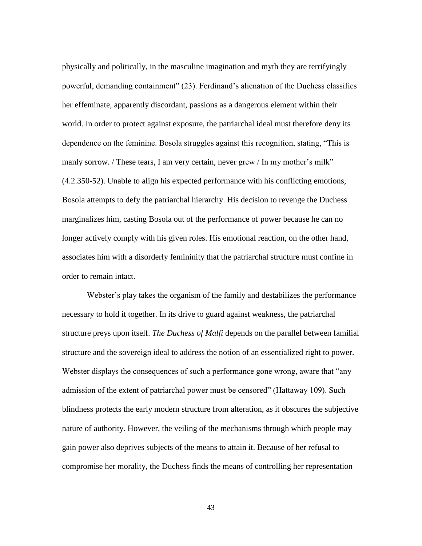physically and politically, in the masculine imagination and myth they are terrifyingly powerful, demanding containment" (23). Ferdinand"s alienation of the Duchess classifies her effeminate, apparently discordant, passions as a dangerous element within their world. In order to protect against exposure, the patriarchal ideal must therefore deny its dependence on the feminine. Bosola struggles against this recognition, stating, "This is manly sorrow. / These tears, I am very certain, never grew / In my mother's milk" (4.2.350-52). Unable to align his expected performance with his conflicting emotions, Bosola attempts to defy the patriarchal hierarchy. His decision to revenge the Duchess marginalizes him, casting Bosola out of the performance of power because he can no longer actively comply with his given roles. His emotional reaction, on the other hand, associates him with a disorderly femininity that the patriarchal structure must confine in order to remain intact.

Webster's play takes the organism of the family and destabilizes the performance necessary to hold it together. In its drive to guard against weakness, the patriarchal structure preys upon itself. *The Duchess of Malfi* depends on the parallel between familial structure and the sovereign ideal to address the notion of an essentialized right to power. Webster displays the consequences of such a performance gone wrong, aware that "any admission of the extent of patriarchal power must be censored" (Hattaway 109). Such blindness protects the early modern structure from alteration, as it obscures the subjective nature of authority. However, the veiling of the mechanisms through which people may gain power also deprives subjects of the means to attain it. Because of her refusal to compromise her morality, the Duchess finds the means of controlling her representation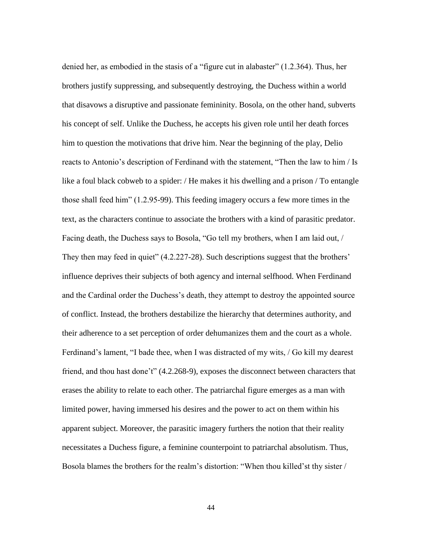denied her, as embodied in the stasis of a "figure cut in alabaster" (1.2.364). Thus, her brothers justify suppressing, and subsequently destroying, the Duchess within a world that disavows a disruptive and passionate femininity. Bosola, on the other hand, subverts his concept of self. Unlike the Duchess, he accepts his given role until her death forces him to question the motivations that drive him. Near the beginning of the play, Delio reacts to Antonio"s description of Ferdinand with the statement, "Then the law to him / Is like a foul black cobweb to a spider: / He makes it his dwelling and a prison / To entangle those shall feed him" (1.2.95-99). This feeding imagery occurs a few more times in the text, as the characters continue to associate the brothers with a kind of parasitic predator. Facing death, the Duchess says to Bosola, "Go tell my brothers, when I am laid out, / They then may feed in quiet" (4.2.227-28). Such descriptions suggest that the brothers' influence deprives their subjects of both agency and internal selfhood. When Ferdinand and the Cardinal order the Duchess's death, they attempt to destroy the appointed source of conflict. Instead, the brothers destabilize the hierarchy that determines authority, and their adherence to a set perception of order dehumanizes them and the court as a whole. Ferdinand's lament, "I bade thee, when I was distracted of my wits, / Go kill my dearest friend, and thou hast done"t" (4.2.268-9), exposes the disconnect between characters that erases the ability to relate to each other. The patriarchal figure emerges as a man with limited power, having immersed his desires and the power to act on them within his apparent subject. Moreover, the parasitic imagery furthers the notion that their reality necessitates a Duchess figure, a feminine counterpoint to patriarchal absolutism. Thus, Bosola blames the brothers for the realm's distortion: "When thou killed'st thy sister /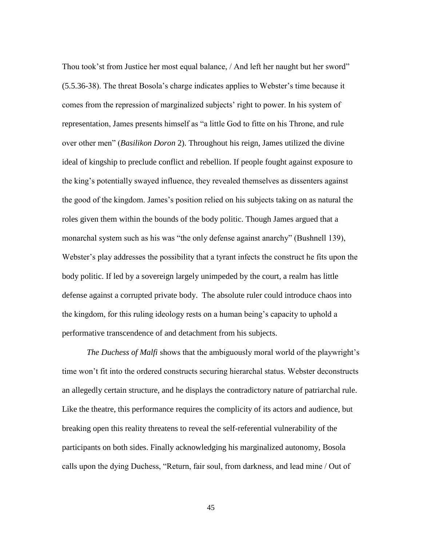Thou took"st from Justice her most equal balance, / And left her naught but her sword" (5.5.36-38). The threat Bosola"s charge indicates applies to Webster"s time because it comes from the repression of marginalized subjects' right to power. In his system of representation, James presents himself as "a little God to fitte on his Throne, and rule over other men" (*Basilikon Doron* 2). Throughout his reign, James utilized the divine ideal of kingship to preclude conflict and rebellion. If people fought against exposure to the king"s potentially swayed influence, they revealed themselves as dissenters against the good of the kingdom. James"s position relied on his subjects taking on as natural the roles given them within the bounds of the body politic. Though James argued that a monarchal system such as his was "the only defense against anarchy" (Bushnell 139), Webster's play addresses the possibility that a tyrant infects the construct he fits upon the body politic. If led by a sovereign largely unimpeded by the court, a realm has little defense against a corrupted private body. The absolute ruler could introduce chaos into the kingdom, for this ruling ideology rests on a human being"s capacity to uphold a performative transcendence of and detachment from his subjects.

*The Duchess of Malfi* shows that the ambiguously moral world of the playwright's time won"t fit into the ordered constructs securing hierarchal status. Webster deconstructs an allegedly certain structure, and he displays the contradictory nature of patriarchal rule. Like the theatre, this performance requires the complicity of its actors and audience, but breaking open this reality threatens to reveal the self-referential vulnerability of the participants on both sides. Finally acknowledging his marginalized autonomy, Bosola calls upon the dying Duchess, "Return, fair soul, from darkness, and lead mine / Out of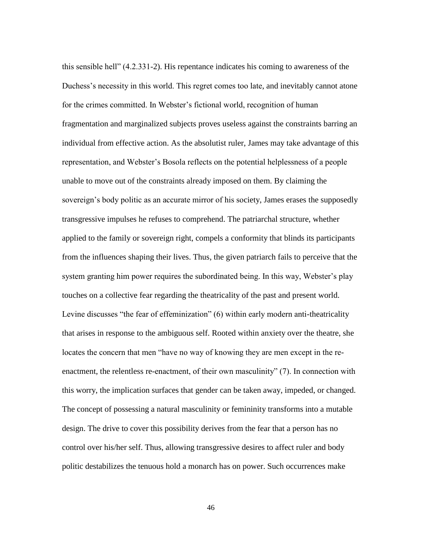this sensible hell" (4.2.331-2). His repentance indicates his coming to awareness of the Duchess"s necessity in this world. This regret comes too late, and inevitably cannot atone for the crimes committed. In Webster's fictional world, recognition of human fragmentation and marginalized subjects proves useless against the constraints barring an individual from effective action. As the absolutist ruler, James may take advantage of this representation, and Webster"s Bosola reflects on the potential helplessness of a people unable to move out of the constraints already imposed on them. By claiming the sovereign"s body politic as an accurate mirror of his society, James erases the supposedly transgressive impulses he refuses to comprehend. The patriarchal structure, whether applied to the family or sovereign right, compels a conformity that blinds its participants from the influences shaping their lives. Thus, the given patriarch fails to perceive that the system granting him power requires the subordinated being. In this way, Webster"s play touches on a collective fear regarding the theatricality of the past and present world. Levine discusses "the fear of effeminization" (6) within early modern anti-theatricality that arises in response to the ambiguous self. Rooted within anxiety over the theatre, she locates the concern that men "have no way of knowing they are men except in the reenactment, the relentless re-enactment, of their own masculinity" (7). In connection with this worry, the implication surfaces that gender can be taken away, impeded, or changed. The concept of possessing a natural masculinity or femininity transforms into a mutable design. The drive to cover this possibility derives from the fear that a person has no control over his/her self. Thus, allowing transgressive desires to affect ruler and body politic destabilizes the tenuous hold a monarch has on power. Such occurrences make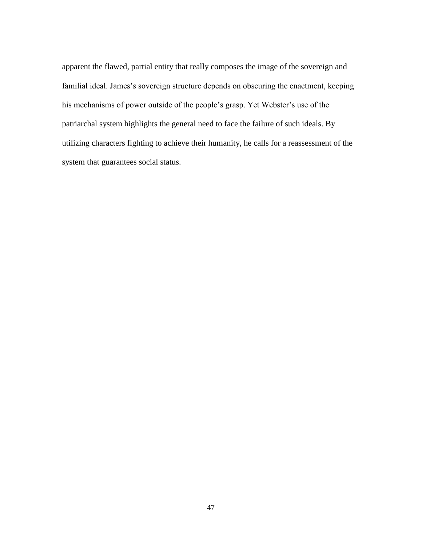apparent the flawed, partial entity that really composes the image of the sovereign and familial ideal. James's sovereign structure depends on obscuring the enactment, keeping his mechanisms of power outside of the people"s grasp. Yet Webster"s use of the patriarchal system highlights the general need to face the failure of such ideals. By utilizing characters fighting to achieve their humanity, he calls for a reassessment of the system that guarantees social status.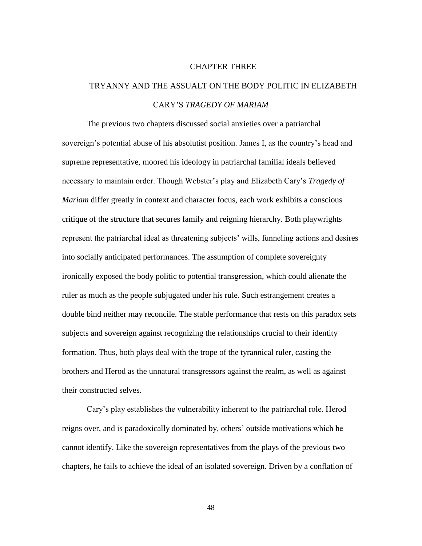## CHAPTER THREE

## TRYANNY AND THE ASSUALT ON THE BODY POLITIC IN ELIZABETH CARY"S *TRAGEDY OF MARIAM*

The previous two chapters discussed social anxieties over a patriarchal sovereign"s potential abuse of his absolutist position. James I, as the country"s head and supreme representative, moored his ideology in patriarchal familial ideals believed necessary to maintain order. Though Webster"s play and Elizabeth Cary"s *Tragedy of Mariam* differ greatly in context and character focus, each work exhibits a conscious critique of the structure that secures family and reigning hierarchy. Both playwrights represent the patriarchal ideal as threatening subjects" wills, funneling actions and desires into socially anticipated performances. The assumption of complete sovereignty ironically exposed the body politic to potential transgression, which could alienate the ruler as much as the people subjugated under his rule. Such estrangement creates a double bind neither may reconcile. The stable performance that rests on this paradox sets subjects and sovereign against recognizing the relationships crucial to their identity formation. Thus, both plays deal with the trope of the tyrannical ruler, casting the brothers and Herod as the unnatural transgressors against the realm, as well as against their constructed selves.

Cary"s play establishes the vulnerability inherent to the patriarchal role. Herod reigns over, and is paradoxically dominated by, others' outside motivations which he cannot identify. Like the sovereign representatives from the plays of the previous two chapters, he fails to achieve the ideal of an isolated sovereign. Driven by a conflation of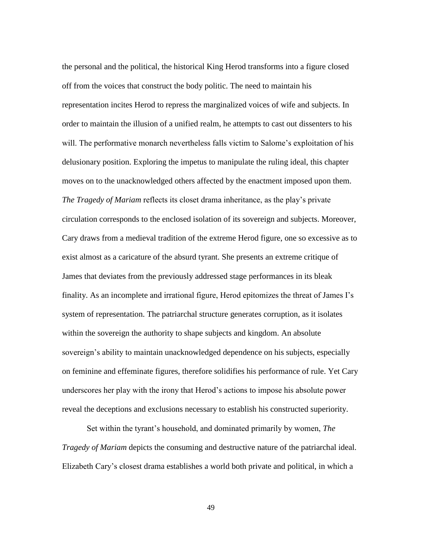the personal and the political, the historical King Herod transforms into a figure closed off from the voices that construct the body politic. The need to maintain his representation incites Herod to repress the marginalized voices of wife and subjects. In order to maintain the illusion of a unified realm, he attempts to cast out dissenters to his will. The performative monarch nevertheless falls victim to Salome's exploitation of his delusionary position. Exploring the impetus to manipulate the ruling ideal, this chapter moves on to the unacknowledged others affected by the enactment imposed upon them. *The Tragedy of Mariam* reflects its closet drama inheritance, as the play"s private circulation corresponds to the enclosed isolation of its sovereign and subjects. Moreover, Cary draws from a medieval tradition of the extreme Herod figure, one so excessive as to exist almost as a caricature of the absurd tyrant. She presents an extreme critique of James that deviates from the previously addressed stage performances in its bleak finality. As an incomplete and irrational figure, Herod epitomizes the threat of James I"s system of representation. The patriarchal structure generates corruption, as it isolates within the sovereign the authority to shape subjects and kingdom. An absolute sovereign's ability to maintain unacknowledged dependence on his subjects, especially on feminine and effeminate figures, therefore solidifies his performance of rule. Yet Cary underscores her play with the irony that Herod"s actions to impose his absolute power reveal the deceptions and exclusions necessary to establish his constructed superiority.

Set within the tyrant"s household, and dominated primarily by women, *The Tragedy of Mariam* depicts the consuming and destructive nature of the patriarchal ideal. Elizabeth Cary"s closest drama establishes a world both private and political, in which a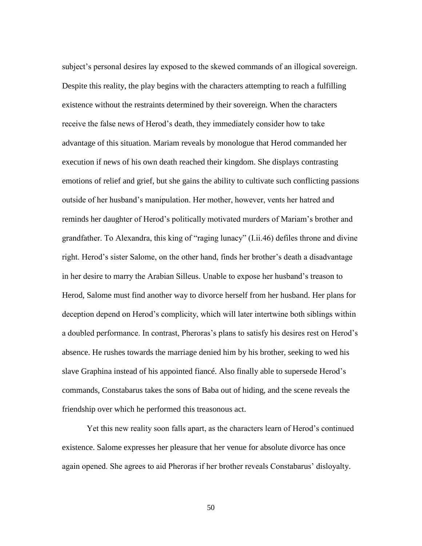subject's personal desires lay exposed to the skewed commands of an illogical sovereign. Despite this reality, the play begins with the characters attempting to reach a fulfilling existence without the restraints determined by their sovereign. When the characters receive the false news of Herod"s death, they immediately consider how to take advantage of this situation. Mariam reveals by monologue that Herod commanded her execution if news of his own death reached their kingdom. She displays contrasting emotions of relief and grief, but she gains the ability to cultivate such conflicting passions outside of her husband"s manipulation. Her mother, however, vents her hatred and reminds her daughter of Herod's politically motivated murders of Mariam's brother and grandfather. To Alexandra, this king of "raging lunacy" (I.ii.46) defiles throne and divine right. Herod"s sister Salome, on the other hand, finds her brother"s death a disadvantage in her desire to marry the Arabian Silleus. Unable to expose her husband"s treason to Herod, Salome must find another way to divorce herself from her husband. Her plans for deception depend on Herod"s complicity, which will later intertwine both siblings within a doubled performance. In contrast, Pheroras's plans to satisfy his desires rest on Herod's absence. He rushes towards the marriage denied him by his brother, seeking to wed his slave Graphina instead of his appointed fiancé. Also finally able to supersede Herod"s commands, Constabarus takes the sons of Baba out of hiding, and the scene reveals the friendship over which he performed this treasonous act.

Yet this new reality soon falls apart, as the characters learn of Herod"s continued existence. Salome expresses her pleasure that her venue for absolute divorce has once again opened. She agrees to aid Pheroras if her brother reveals Constabarus' disloyalty.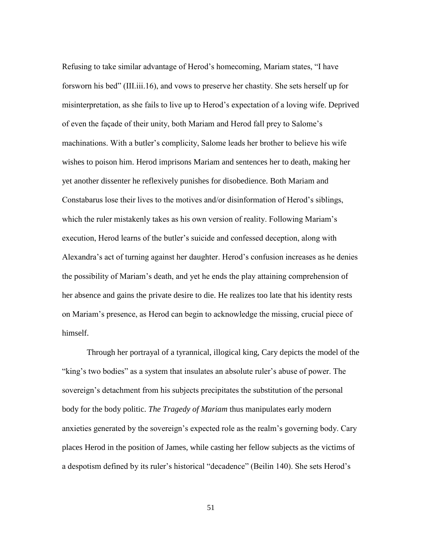Refusing to take similar advantage of Herod"s homecoming, Mariam states, "I have forsworn his bed" (III.iii.16), and vows to preserve her chastity. She sets herself up for misinterpretation, as she fails to live up to Herod"s expectation of a loving wife. Deprived of even the façade of their unity, both Mariam and Herod fall prey to Salome"s machinations. With a butler"s complicity, Salome leads her brother to believe his wife wishes to poison him. Herod imprisons Mariam and sentences her to death, making her yet another dissenter he reflexively punishes for disobedience. Both Mariam and Constabarus lose their lives to the motives and/or disinformation of Herod"s siblings, which the ruler mistakenly takes as his own version of reality. Following Mariam's execution, Herod learns of the butler"s suicide and confessed deception, along with Alexandra"s act of turning against her daughter. Herod"s confusion increases as he denies the possibility of Mariam"s death, and yet he ends the play attaining comprehension of her absence and gains the private desire to die. He realizes too late that his identity rests on Mariam"s presence, as Herod can begin to acknowledge the missing, crucial piece of himself.

Through her portrayal of a tyrannical, illogical king, Cary depicts the model of the "king's two bodies" as a system that insulates an absolute ruler's abuse of power. The sovereign's detachment from his subjects precipitates the substitution of the personal body for the body politic. *The Tragedy of Mariam* thus manipulates early modern anxieties generated by the sovereign's expected role as the realm's governing body. Cary places Herod in the position of James, while casting her fellow subjects as the victims of a despotism defined by its ruler's historical "decadence" (Beilin 140). She sets Herod's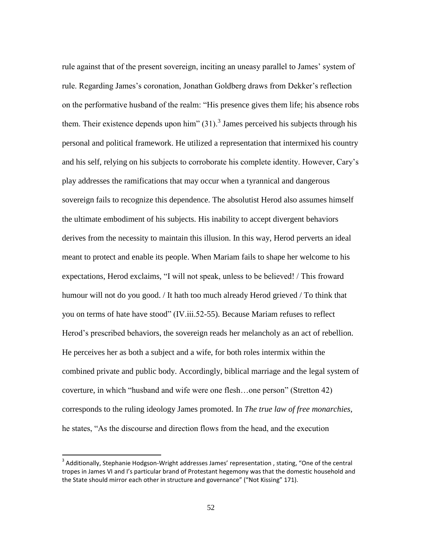rule against that of the present sovereign, inciting an uneasy parallel to James" system of rule. Regarding James"s coronation, Jonathan Goldberg draws from Dekker"s reflection on the performative husband of the realm: "His presence gives them life; his absence robs them. Their existence depends upon him"  $(31)$ .<sup>3</sup> James perceived his subjects through his personal and political framework. He utilized a representation that intermixed his country and his self, relying on his subjects to corroborate his complete identity. However, Cary"s play addresses the ramifications that may occur when a tyrannical and dangerous sovereign fails to recognize this dependence. The absolutist Herod also assumes himself the ultimate embodiment of his subjects. His inability to accept divergent behaviors derives from the necessity to maintain this illusion. In this way, Herod perverts an ideal meant to protect and enable its people. When Mariam fails to shape her welcome to his expectations, Herod exclaims, "I will not speak, unless to be believed! / This froward humour will not do you good. / It hath too much already Herod grieved / To think that you on terms of hate have stood" (IV.iii.52-55). Because Mariam refuses to reflect Herod"s prescribed behaviors, the sovereign reads her melancholy as an act of rebellion. He perceives her as both a subject and a wife, for both roles intermix within the combined private and public body. Accordingly, biblical marriage and the legal system of coverture, in which "husband and wife were one flesh…one person" (Stretton 42) corresponds to the ruling ideology James promoted. In *The true law of free monarchies*, he states, "As the discourse and direction flows from the head, and the execution

 $\overline{\phantom{a}}$ 

 $3$  Additionally, Stephanie Hodgson-Wright addresses James' representation , stating, "One of the central tropes in James VI and I's particular brand of Protestant hegemony was that the domestic household and the State should mirror each other in structure and governance" ("Not Kissing" 171).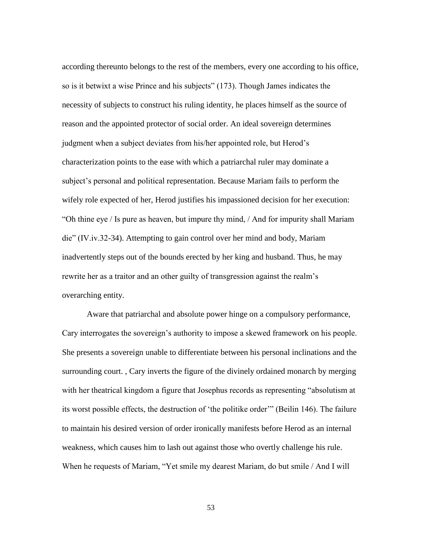according thereunto belongs to the rest of the members, every one according to his office, so is it betwixt a wise Prince and his subjects" (173). Though James indicates the necessity of subjects to construct his ruling identity, he places himself as the source of reason and the appointed protector of social order. An ideal sovereign determines judgment when a subject deviates from his/her appointed role, but Herod"s characterization points to the ease with which a patriarchal ruler may dominate a subject"s personal and political representation. Because Mariam fails to perform the wifely role expected of her, Herod justifies his impassioned decision for her execution: "Oh thine eye / Is pure as heaven, but impure thy mind, / And for impurity shall Mariam die" (IV.iv.32-34). Attempting to gain control over her mind and body, Mariam inadvertently steps out of the bounds erected by her king and husband. Thus, he may rewrite her as a traitor and an other guilty of transgression against the realm"s overarching entity.

Aware that patriarchal and absolute power hinge on a compulsory performance, Cary interrogates the sovereign's authority to impose a skewed framework on his people. She presents a sovereign unable to differentiate between his personal inclinations and the surrounding court. , Cary inverts the figure of the divinely ordained monarch by merging with her theatrical kingdom a figure that Josephus records as representing "absolutism at its worst possible effects, the destruction of "the politike order"" (Beilin 146). The failure to maintain his desired version of order ironically manifests before Herod as an internal weakness, which causes him to lash out against those who overtly challenge his rule. When he requests of Mariam, "Yet smile my dearest Mariam, do but smile / And I will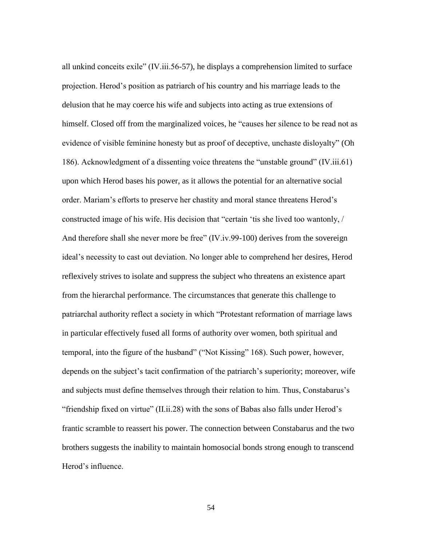all unkind conceits exile" (IV.iii.56-57), he displays a comprehension limited to surface projection. Herod"s position as patriarch of his country and his marriage leads to the delusion that he may coerce his wife and subjects into acting as true extensions of himself. Closed off from the marginalized voices, he "causes her silence to be read not as evidence of visible feminine honesty but as proof of deceptive, unchaste disloyalty" (Oh 186). Acknowledgment of a dissenting voice threatens the "unstable ground" (IV.iii.61) upon which Herod bases his power, as it allows the potential for an alternative social order. Mariam"s efforts to preserve her chastity and moral stance threatens Herod"s constructed image of his wife. His decision that "certain "tis she lived too wantonly, / And therefore shall she never more be free" (IV.iv.99-100) derives from the sovereign ideal"s necessity to cast out deviation. No longer able to comprehend her desires, Herod reflexively strives to isolate and suppress the subject who threatens an existence apart from the hierarchal performance. The circumstances that generate this challenge to patriarchal authority reflect a society in which "Protestant reformation of marriage laws in particular effectively fused all forms of authority over women, both spiritual and temporal, into the figure of the husband" ("Not Kissing" 168). Such power, however, depends on the subject's tacit confirmation of the patriarch's superiority; moreover, wife and subjects must define themselves through their relation to him. Thus, Constabarus"s "friendship fixed on virtue" (II.ii.28) with the sons of Babas also falls under Herod"s frantic scramble to reassert his power. The connection between Constabarus and the two brothers suggests the inability to maintain homosocial bonds strong enough to transcend Herod"s influence.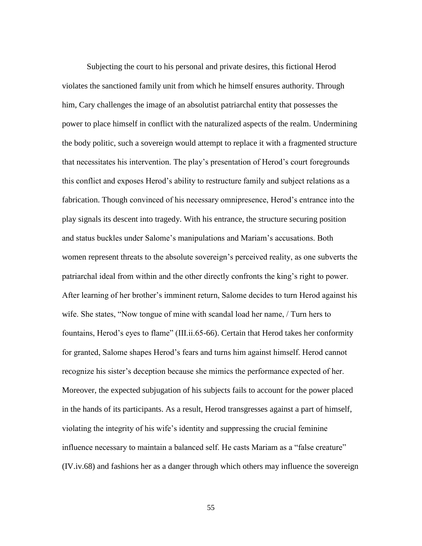Subjecting the court to his personal and private desires, this fictional Herod violates the sanctioned family unit from which he himself ensures authority. Through him, Cary challenges the image of an absolutist patriarchal entity that possesses the power to place himself in conflict with the naturalized aspects of the realm. Undermining the body politic, such a sovereign would attempt to replace it with a fragmented structure that necessitates his intervention. The play"s presentation of Herod"s court foregrounds this conflict and exposes Herod"s ability to restructure family and subject relations as a fabrication. Though convinced of his necessary omnipresence, Herod"s entrance into the play signals its descent into tragedy. With his entrance, the structure securing position and status buckles under Salome"s manipulations and Mariam"s accusations. Both women represent threats to the absolute sovereign"s perceived reality, as one subverts the patriarchal ideal from within and the other directly confronts the king"s right to power. After learning of her brother"s imminent return, Salome decides to turn Herod against his wife. She states, "Now tongue of mine with scandal load her name, / Turn hers to fountains, Herod's eyes to flame" (III.ii.65-66). Certain that Herod takes her conformity for granted, Salome shapes Herod"s fears and turns him against himself. Herod cannot recognize his sister's deception because she mimics the performance expected of her. Moreover, the expected subjugation of his subjects fails to account for the power placed in the hands of its participants. As a result, Herod transgresses against a part of himself, violating the integrity of his wife"s identity and suppressing the crucial feminine influence necessary to maintain a balanced self. He casts Mariam as a "false creature" (IV.iv.68) and fashions her as a danger through which others may influence the sovereign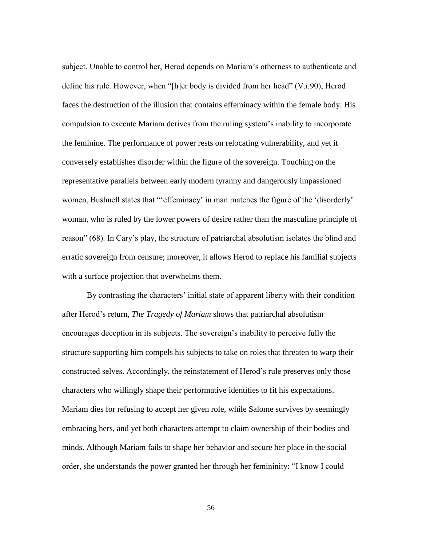subject. Unable to control her, Herod depends on Mariam"s otherness to authenticate and define his rule. However, when "[h]er body is divided from her head" (V.i.90), Herod faces the destruction of the illusion that contains effeminacy within the female body. His compulsion to execute Mariam derives from the ruling system"s inability to incorporate the feminine. The performance of power rests on relocating vulnerability, and yet it conversely establishes disorder within the figure of the sovereign. Touching on the representative parallels between early modern tyranny and dangerously impassioned women, Bushnell states that ""effeminacy" in man matches the figure of the 'disorderly' woman, who is ruled by the lower powers of desire rather than the masculine principle of reason" (68). In Cary"s play, the structure of patriarchal absolutism isolates the blind and erratic sovereign from censure; moreover, it allows Herod to replace his familial subjects with a surface projection that overwhelms them.

By contrasting the characters' initial state of apparent liberty with their condition after Herod"s return, *The Tragedy of Mariam* shows that patriarchal absolutism encourages deception in its subjects. The sovereign"s inability to perceive fully the structure supporting him compels his subjects to take on roles that threaten to warp their constructed selves. Accordingly, the reinstatement of Herod"s rule preserves only those characters who willingly shape their performative identities to fit his expectations. Mariam dies for refusing to accept her given role, while Salome survives by seemingly embracing hers, and yet both characters attempt to claim ownership of their bodies and minds. Although Mariam fails to shape her behavior and secure her place in the social order, she understands the power granted her through her femininity: "I know I could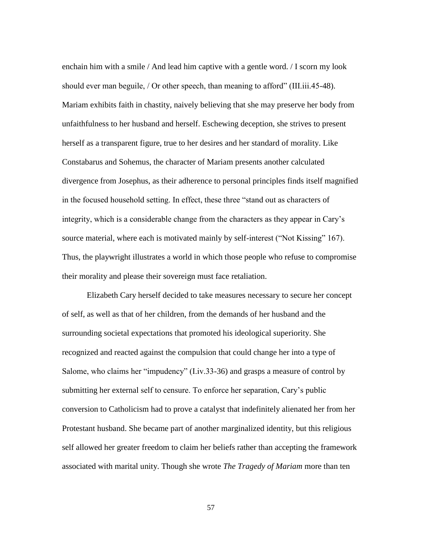enchain him with a smile / And lead him captive with a gentle word. / I scorn my look should ever man beguile, / Or other speech, than meaning to afford" (III.iii.45-48). Mariam exhibits faith in chastity, naively believing that she may preserve her body from unfaithfulness to her husband and herself. Eschewing deception, she strives to present herself as a transparent figure, true to her desires and her standard of morality. Like Constabarus and Sohemus, the character of Mariam presents another calculated divergence from Josephus, as their adherence to personal principles finds itself magnified in the focused household setting. In effect, these three "stand out as characters of integrity, which is a considerable change from the characters as they appear in Cary"s source material, where each is motivated mainly by self-interest ("Not Kissing" 167). Thus, the playwright illustrates a world in which those people who refuse to compromise their morality and please their sovereign must face retaliation.

Elizabeth Cary herself decided to take measures necessary to secure her concept of self, as well as that of her children, from the demands of her husband and the surrounding societal expectations that promoted his ideological superiority. She recognized and reacted against the compulsion that could change her into a type of Salome, who claims her "impudency" (I.iv.33-36) and grasps a measure of control by submitting her external self to censure. To enforce her separation, Cary"s public conversion to Catholicism had to prove a catalyst that indefinitely alienated her from her Protestant husband. She became part of another marginalized identity, but this religious self allowed her greater freedom to claim her beliefs rather than accepting the framework associated with marital unity. Though she wrote *The Tragedy of Mariam* more than ten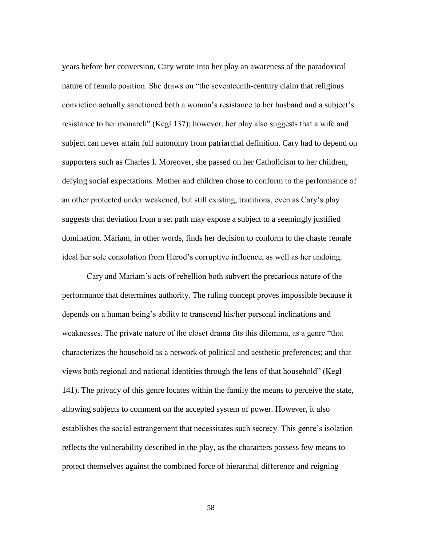years before her conversion, Cary wrote into her play an awareness of the paradoxical nature of female position. She draws on "the seventeenth-century claim that religious conviction actually sanctioned both a woman"s resistance to her husband and a subject"s resistance to her monarch" (Kegl 137); however, her play also suggests that a wife and subject can never attain full autonomy from patriarchal definition. Cary had to depend on supporters such as Charles I. Moreover, she passed on her Catholicism to her children, defying social expectations. Mother and children chose to conform to the performance of an other protected under weakened, but still existing, traditions, even as Cary"s play suggests that deviation from a set path may expose a subject to a seemingly justified domination. Mariam, in other words, finds her decision to conform to the chaste female ideal her sole consolation from Herod"s corruptive influence, as well as her undoing.

Cary and Mariam"s acts of rebellion both subvert the precarious nature of the performance that determines authority. The ruling concept proves impossible because it depends on a human being"s ability to transcend his/her personal inclinations and weaknesses. The private nature of the closet drama fits this dilemma, as a genre "that characterizes the household as a network of political and aesthetic preferences; and that views both regional and national identities through the lens of that household" (Kegl 141). The privacy of this genre locates within the family the means to perceive the state, allowing subjects to comment on the accepted system of power. However, it also establishes the social estrangement that necessitates such secrecy. This genre"s isolation reflects the vulnerability described in the play, as the characters possess few means to protect themselves against the combined force of hierarchal difference and reigning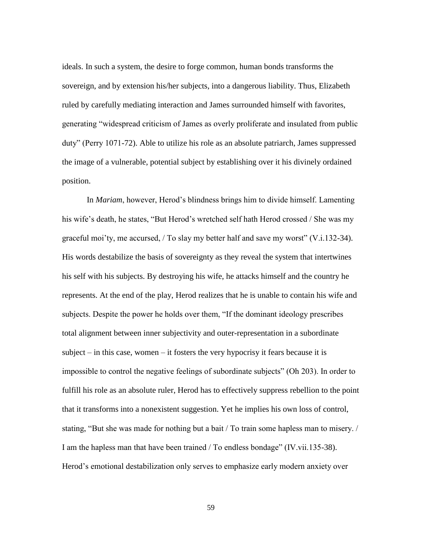ideals. In such a system, the desire to forge common, human bonds transforms the sovereign, and by extension his/her subjects, into a dangerous liability. Thus, Elizabeth ruled by carefully mediating interaction and James surrounded himself with favorites, generating "widespread criticism of James as overly proliferate and insulated from public duty" (Perry 1071-72). Able to utilize his role as an absolute patriarch, James suppressed the image of a vulnerable, potential subject by establishing over it his divinely ordained position.

In *Mariam*, however, Herod"s blindness brings him to divide himself. Lamenting his wife's death, he states, "But Herod's wretched self hath Herod crossed / She was my graceful moi'ty, me accursed,  $/$  To slay my better half and save my worst" (V.i.132-34). His words destabilize the basis of sovereignty as they reveal the system that intertwines his self with his subjects. By destroying his wife, he attacks himself and the country he represents. At the end of the play, Herod realizes that he is unable to contain his wife and subjects. Despite the power he holds over them, "If the dominant ideology prescribes total alignment between inner subjectivity and outer-representation in a subordinate subject – in this case, women – it fosters the very hypocrisy it fears because it is impossible to control the negative feelings of subordinate subjects" (Oh 203). In order to fulfill his role as an absolute ruler, Herod has to effectively suppress rebellion to the point that it transforms into a nonexistent suggestion. Yet he implies his own loss of control, stating, "But she was made for nothing but a bait / To train some hapless man to misery. / I am the hapless man that have been trained / To endless bondage" (IV.vii.135-38). Herod"s emotional destabilization only serves to emphasize early modern anxiety over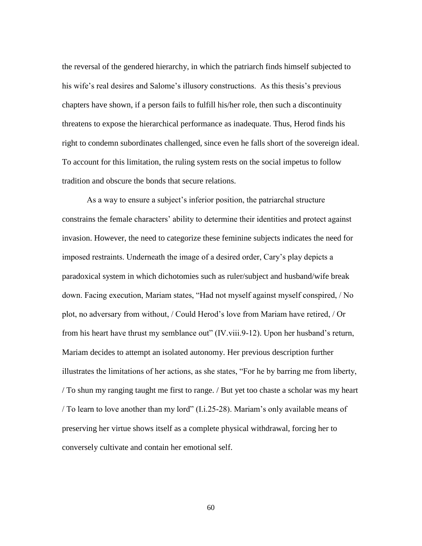the reversal of the gendered hierarchy, in which the patriarch finds himself subjected to his wife's real desires and Salome's illusory constructions. As this thesis's previous chapters have shown, if a person fails to fulfill his/her role, then such a discontinuity threatens to expose the hierarchical performance as inadequate. Thus, Herod finds his right to condemn subordinates challenged, since even he falls short of the sovereign ideal. To account for this limitation, the ruling system rests on the social impetus to follow tradition and obscure the bonds that secure relations.

As a way to ensure a subject's inferior position, the patriarchal structure constrains the female characters" ability to determine their identities and protect against invasion. However, the need to categorize these feminine subjects indicates the need for imposed restraints. Underneath the image of a desired order, Cary"s play depicts a paradoxical system in which dichotomies such as ruler/subject and husband/wife break down. Facing execution, Mariam states, "Had not myself against myself conspired, / No plot, no adversary from without, / Could Herod"s love from Mariam have retired, / Or from his heart have thrust my semblance out" (IV.viii.9-12). Upon her husband"s return, Mariam decides to attempt an isolated autonomy. Her previous description further illustrates the limitations of her actions, as she states, "For he by barring me from liberty, / To shun my ranging taught me first to range. / But yet too chaste a scholar was my heart / To learn to love another than my lord" (I.i.25-28). Mariam"s only available means of preserving her virtue shows itself as a complete physical withdrawal, forcing her to conversely cultivate and contain her emotional self.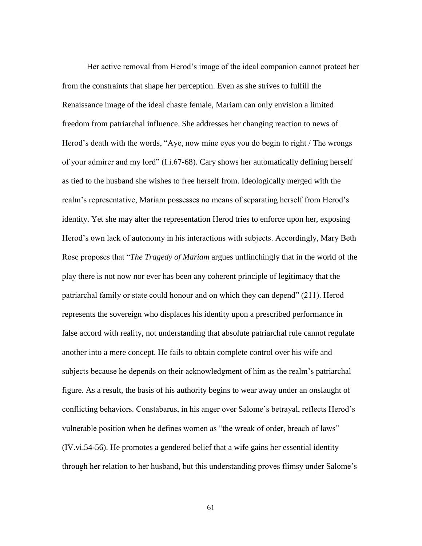Her active removal from Herod"s image of the ideal companion cannot protect her from the constraints that shape her perception. Even as she strives to fulfill the Renaissance image of the ideal chaste female, Mariam can only envision a limited freedom from patriarchal influence. She addresses her changing reaction to news of Herod"s death with the words, "Aye, now mine eyes you do begin to right / The wrongs of your admirer and my lord" (I.i.67-68). Cary shows her automatically defining herself as tied to the husband she wishes to free herself from. Ideologically merged with the realm"s representative, Mariam possesses no means of separating herself from Herod"s identity. Yet she may alter the representation Herod tries to enforce upon her, exposing Herod"s own lack of autonomy in his interactions with subjects. Accordingly, Mary Beth Rose proposes that "*The Tragedy of Mariam* argues unflinchingly that in the world of the play there is not now nor ever has been any coherent principle of legitimacy that the patriarchal family or state could honour and on which they can depend" (211). Herod represents the sovereign who displaces his identity upon a prescribed performance in false accord with reality, not understanding that absolute patriarchal rule cannot regulate another into a mere concept. He fails to obtain complete control over his wife and subjects because he depends on their acknowledgment of him as the realm"s patriarchal figure. As a result, the basis of his authority begins to wear away under an onslaught of conflicting behaviors. Constabarus, in his anger over Salome"s betrayal, reflects Herod"s vulnerable position when he defines women as "the wreak of order, breach of laws" (IV.vi.54-56). He promotes a gendered belief that a wife gains her essential identity through her relation to her husband, but this understanding proves flimsy under Salome"s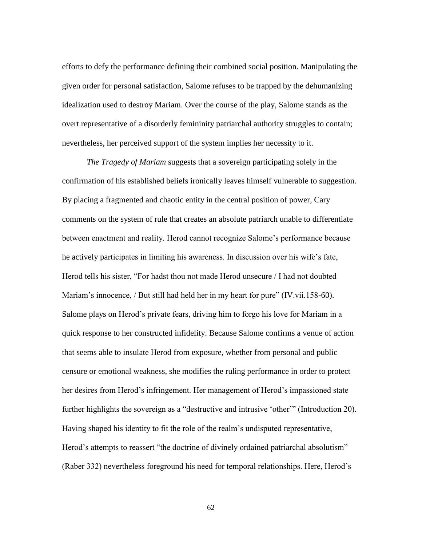efforts to defy the performance defining their combined social position. Manipulating the given order for personal satisfaction, Salome refuses to be trapped by the dehumanizing idealization used to destroy Mariam. Over the course of the play, Salome stands as the overt representative of a disorderly femininity patriarchal authority struggles to contain; nevertheless, her perceived support of the system implies her necessity to it.

*The Tragedy of Mariam* suggests that a sovereign participating solely in the confirmation of his established beliefs ironically leaves himself vulnerable to suggestion. By placing a fragmented and chaotic entity in the central position of power, Cary comments on the system of rule that creates an absolute patriarch unable to differentiate between enactment and reality. Herod cannot recognize Salome"s performance because he actively participates in limiting his awareness. In discussion over his wife"s fate, Herod tells his sister, "For hadst thou not made Herod unsecure / I had not doubted Mariam's innocence, / But still had held her in my heart for pure" (IV.vii.158-60). Salome plays on Herod"s private fears, driving him to forgo his love for Mariam in a quick response to her constructed infidelity. Because Salome confirms a venue of action that seems able to insulate Herod from exposure, whether from personal and public censure or emotional weakness, she modifies the ruling performance in order to protect her desires from Herod"s infringement. Her management of Herod"s impassioned state further highlights the sovereign as a "destructive and intrusive "other"" (Introduction 20). Having shaped his identity to fit the role of the realm"s undisputed representative, Herod's attempts to reassert "the doctrine of divinely ordained patriarchal absolutism" (Raber 332) nevertheless foreground his need for temporal relationships. Here, Herod"s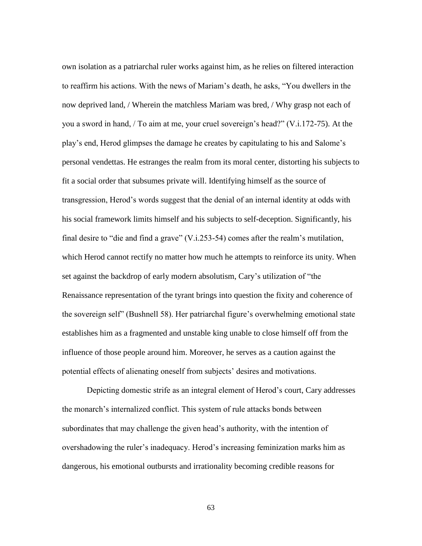own isolation as a patriarchal ruler works against him, as he relies on filtered interaction to reaffirm his actions. With the news of Mariam"s death, he asks, "You dwellers in the now deprived land, / Wherein the matchless Mariam was bred, / Why grasp not each of you a sword in hand, / To aim at me, your cruel sovereign's head?" (V.i.172-75). At the play"s end, Herod glimpses the damage he creates by capitulating to his and Salome"s personal vendettas. He estranges the realm from its moral center, distorting his subjects to fit a social order that subsumes private will. Identifying himself as the source of transgression, Herod"s words suggest that the denial of an internal identity at odds with his social framework limits himself and his subjects to self-deception. Significantly, his final desire to "die and find a grave" (V.i.253-54) comes after the realm"s mutilation, which Herod cannot rectify no matter how much he attempts to reinforce its unity. When set against the backdrop of early modern absolutism, Cary"s utilization of "the Renaissance representation of the tyrant brings into question the fixity and coherence of the sovereign self" (Bushnell 58). Her patriarchal figure's overwhelming emotional state establishes him as a fragmented and unstable king unable to close himself off from the influence of those people around him. Moreover, he serves as a caution against the potential effects of alienating oneself from subjects' desires and motivations.

Depicting domestic strife as an integral element of Herod"s court, Cary addresses the monarch"s internalized conflict. This system of rule attacks bonds between subordinates that may challenge the given head's authority, with the intention of overshadowing the ruler"s inadequacy. Herod"s increasing feminization marks him as dangerous, his emotional outbursts and irrationality becoming credible reasons for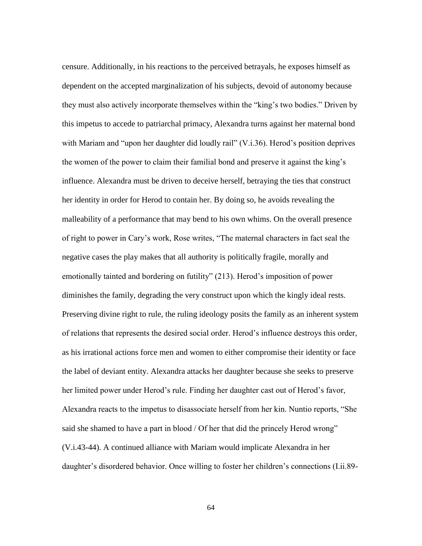censure. Additionally, in his reactions to the perceived betrayals, he exposes himself as dependent on the accepted marginalization of his subjects, devoid of autonomy because they must also actively incorporate themselves within the "king"s two bodies." Driven by this impetus to accede to patriarchal primacy, Alexandra turns against her maternal bond with Mariam and "upon her daughter did loudly rail" (V.i.36). Herod's position deprives the women of the power to claim their familial bond and preserve it against the king"s influence. Alexandra must be driven to deceive herself, betraying the ties that construct her identity in order for Herod to contain her. By doing so, he avoids revealing the malleability of a performance that may bend to his own whims. On the overall presence of right to power in Cary"s work, Rose writes, "The maternal characters in fact seal the negative cases the play makes that all authority is politically fragile, morally and emotionally tainted and bordering on futility" (213). Herod's imposition of power diminishes the family, degrading the very construct upon which the kingly ideal rests. Preserving divine right to rule, the ruling ideology posits the family as an inherent system of relations that represents the desired social order. Herod"s influence destroys this order, as his irrational actions force men and women to either compromise their identity or face the label of deviant entity. Alexandra attacks her daughter because she seeks to preserve her limited power under Herod's rule. Finding her daughter cast out of Herod's favor, Alexandra reacts to the impetus to disassociate herself from her kin. Nuntio reports, "She said she shamed to have a part in blood / Of her that did the princely Herod wrong" (V.i.43-44). A continued alliance with Mariam would implicate Alexandra in her daughter's disordered behavior. Once willing to foster her children's connections (I.ii.89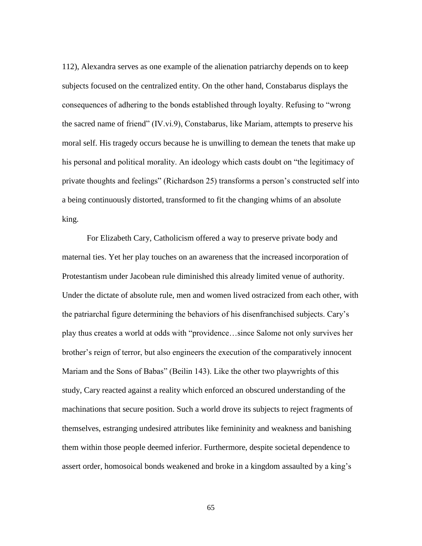112), Alexandra serves as one example of the alienation patriarchy depends on to keep subjects focused on the centralized entity. On the other hand, Constabarus displays the consequences of adhering to the bonds established through loyalty. Refusing to "wrong the sacred name of friend" (IV.vi.9), Constabarus, like Mariam, attempts to preserve his moral self. His tragedy occurs because he is unwilling to demean the tenets that make up his personal and political morality. An ideology which casts doubt on "the legitimacy of private thoughts and feelings" (Richardson 25) transforms a person"s constructed self into a being continuously distorted, transformed to fit the changing whims of an absolute king.

For Elizabeth Cary, Catholicism offered a way to preserve private body and maternal ties. Yet her play touches on an awareness that the increased incorporation of Protestantism under Jacobean rule diminished this already limited venue of authority. Under the dictate of absolute rule, men and women lived ostracized from each other, with the patriarchal figure determining the behaviors of his disenfranchised subjects. Cary"s play thus creates a world at odds with "providence…since Salome not only survives her brother"s reign of terror, but also engineers the execution of the comparatively innocent Mariam and the Sons of Babas" (Beilin 143). Like the other two playwrights of this study, Cary reacted against a reality which enforced an obscured understanding of the machinations that secure position. Such a world drove its subjects to reject fragments of themselves, estranging undesired attributes like femininity and weakness and banishing them within those people deemed inferior. Furthermore, despite societal dependence to assert order, homosoical bonds weakened and broke in a kingdom assaulted by a king"s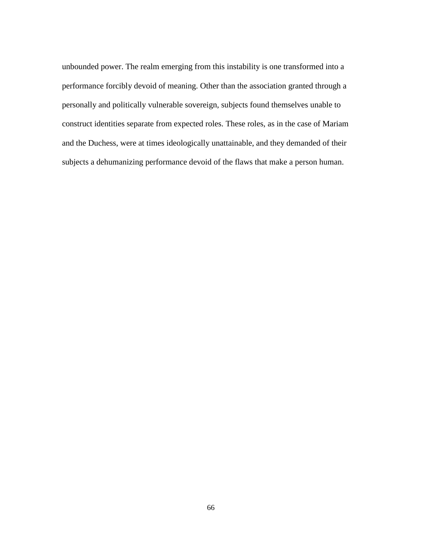unbounded power. The realm emerging from this instability is one transformed into a performance forcibly devoid of meaning. Other than the association granted through a personally and politically vulnerable sovereign, subjects found themselves unable to construct identities separate from expected roles. These roles, as in the case of Mariam and the Duchess, were at times ideologically unattainable, and they demanded of their subjects a dehumanizing performance devoid of the flaws that make a person human.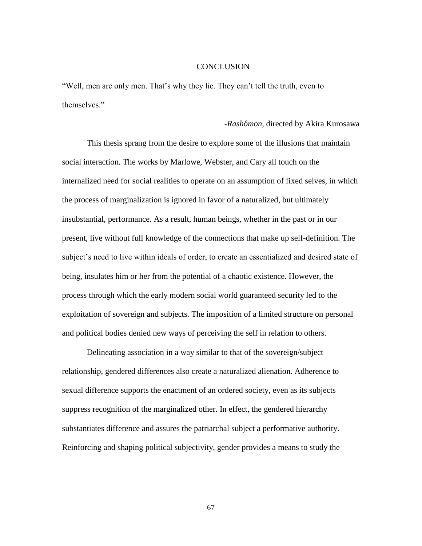## **CONCLUSION**

"Well, men are only men. That"s why they lie. They can"t tell the truth, even to themselves."

## *-Rashômon*, directed by Akira Kurosawa

This thesis sprang from the desire to explore some of the illusions that maintain social interaction. The works by Marlowe, Webster, and Cary all touch on the internalized need for social realities to operate on an assumption of fixed selves, in which the process of marginalization is ignored in favor of a naturalized, but ultimately insubstantial, performance. As a result, human beings, whether in the past or in our present, live without full knowledge of the connections that make up self-definition. The subject's need to live within ideals of order, to create an essentialized and desired state of being, insulates him or her from the potential of a chaotic existence. However, the process through which the early modern social world guaranteed security led to the exploitation of sovereign and subjects. The imposition of a limited structure on personal and political bodies denied new ways of perceiving the self in relation to others.

Delineating association in a way similar to that of the sovereign/subject relationship, gendered differences also create a naturalized alienation. Adherence to sexual difference supports the enactment of an ordered society, even as its subjects suppress recognition of the marginalized other. In effect, the gendered hierarchy substantiates difference and assures the patriarchal subject a performative authority. Reinforcing and shaping political subjectivity, gender provides a means to study the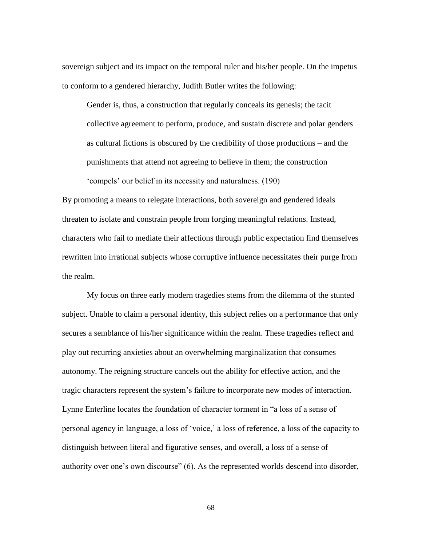sovereign subject and its impact on the temporal ruler and his/her people. On the impetus to conform to a gendered hierarchy, Judith Butler writes the following:

Gender is, thus, a construction that regularly conceals its genesis; the tacit collective agreement to perform, produce, and sustain discrete and polar genders as cultural fictions is obscured by the credibility of those productions – and the punishments that attend not agreeing to believe in them; the construction "compels" our belief in its necessity and naturalness. (190)

By promoting a means to relegate interactions, both sovereign and gendered ideals threaten to isolate and constrain people from forging meaningful relations. Instead, characters who fail to mediate their affections through public expectation find themselves rewritten into irrational subjects whose corruptive influence necessitates their purge from the realm.

My focus on three early modern tragedies stems from the dilemma of the stunted subject. Unable to claim a personal identity, this subject relies on a performance that only secures a semblance of his/her significance within the realm. These tragedies reflect and play out recurring anxieties about an overwhelming marginalization that consumes autonomy. The reigning structure cancels out the ability for effective action, and the tragic characters represent the system"s failure to incorporate new modes of interaction. Lynne Enterline locates the foundation of character torment in "a loss of a sense of personal agency in language, a loss of "voice," a loss of reference, a loss of the capacity to distinguish between literal and figurative senses, and overall, a loss of a sense of authority over one"s own discourse" (6). As the represented worlds descend into disorder,

68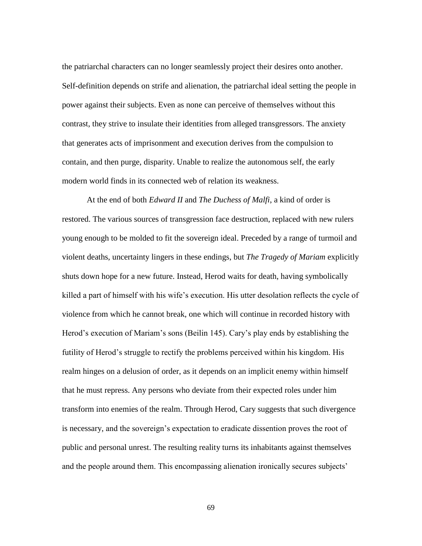the patriarchal characters can no longer seamlessly project their desires onto another. Self-definition depends on strife and alienation, the patriarchal ideal setting the people in power against their subjects. Even as none can perceive of themselves without this contrast, they strive to insulate their identities from alleged transgressors. The anxiety that generates acts of imprisonment and execution derives from the compulsion to contain, and then purge, disparity. Unable to realize the autonomous self, the early modern world finds in its connected web of relation its weakness.

At the end of both *Edward II* and *The Duchess of Malfi*, a kind of order is restored. The various sources of transgression face destruction, replaced with new rulers young enough to be molded to fit the sovereign ideal. Preceded by a range of turmoil and violent deaths, uncertainty lingers in these endings, but *The Tragedy of Mariam* explicitly shuts down hope for a new future. Instead, Herod waits for death, having symbolically killed a part of himself with his wife"s execution. His utter desolation reflects the cycle of violence from which he cannot break, one which will continue in recorded history with Herod's execution of Mariam's sons (Beilin 145). Cary's play ends by establishing the futility of Herod"s struggle to rectify the problems perceived within his kingdom. His realm hinges on a delusion of order, as it depends on an implicit enemy within himself that he must repress. Any persons who deviate from their expected roles under him transform into enemies of the realm. Through Herod, Cary suggests that such divergence is necessary, and the sovereign's expectation to eradicate dissention proves the root of public and personal unrest. The resulting reality turns its inhabitants against themselves and the people around them. This encompassing alienation ironically secures subjects'

69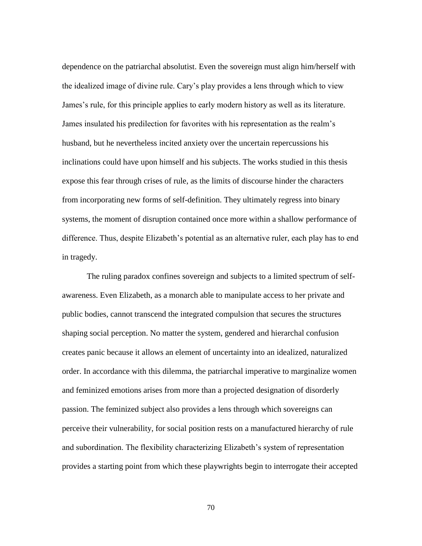dependence on the patriarchal absolutist. Even the sovereign must align him/herself with the idealized image of divine rule. Cary"s play provides a lens through which to view James"s rule, for this principle applies to early modern history as well as its literature. James insulated his predilection for favorites with his representation as the realm"s husband, but he nevertheless incited anxiety over the uncertain repercussions his inclinations could have upon himself and his subjects. The works studied in this thesis expose this fear through crises of rule, as the limits of discourse hinder the characters from incorporating new forms of self-definition. They ultimately regress into binary systems, the moment of disruption contained once more within a shallow performance of difference. Thus, despite Elizabeth"s potential as an alternative ruler, each play has to end in tragedy.

The ruling paradox confines sovereign and subjects to a limited spectrum of selfawareness. Even Elizabeth, as a monarch able to manipulate access to her private and public bodies, cannot transcend the integrated compulsion that secures the structures shaping social perception. No matter the system, gendered and hierarchal confusion creates panic because it allows an element of uncertainty into an idealized, naturalized order. In accordance with this dilemma, the patriarchal imperative to marginalize women and feminized emotions arises from more than a projected designation of disorderly passion. The feminized subject also provides a lens through which sovereigns can perceive their vulnerability, for social position rests on a manufactured hierarchy of rule and subordination. The flexibility characterizing Elizabeth's system of representation provides a starting point from which these playwrights begin to interrogate their accepted

70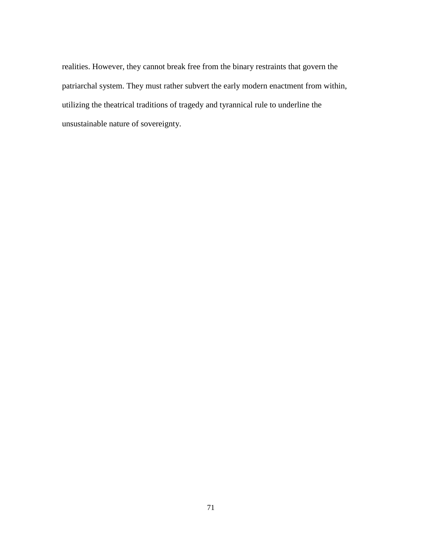realities. However, they cannot break free from the binary restraints that govern the patriarchal system. They must rather subvert the early modern enactment from within, utilizing the theatrical traditions of tragedy and tyrannical rule to underline the unsustainable nature of sovereignty.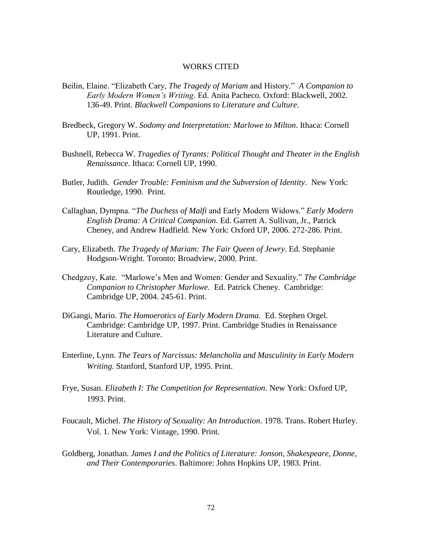## WORKS CITED

- Beilin, Elaine. "Elizabeth Cary, *The Tragedy of Mariam* and History." *A Companion to Early Modern Women's Writing*. Ed. Anita Pacheco. Oxford: Blackwell, 2002. 136-49. Print. *Blackwell Companions to Literature and Culture*.
- Bredbeck, Gregory W. *Sodomy and Interpretation: Marlowe to Milton*. Ithaca: Cornell UP, 1991. Print.
- Bushnell, Rebecca W. *Tragedies of Tyrants: Political Thought and Theater in the English Renaissance*. Ithaca: Cornell UP, 1990.
- Butler, Judith. *Gender Trouble: Feminism and the Subversion of Identity*. New York: Routledge, 1990. Print.
- Callaghan, Dympna. "*The Duchess of Malfi* and Early Modern Widows." *Early Modern English Drama: A Critical Companion*. Ed. Garrett A. Sullivan, Jr., Patrick Cheney, and Andrew Hadfield. New York: Oxford UP, 2006. 272-286. Print.
- Cary, Elizabeth. *The Tragedy of Mariam: The Fair Queen of Jewry*. Ed. Stephanie Hodgson-Wright. Toronto: Broadview, 2000. Print.
- Chedgzoy, Kate. "Marlowe"s Men and Women: Gender and Sexuality." *The Cambridge Companion to Christopher Marlowe*. Ed. Patrick Cheney. Cambridge: Cambridge UP, 2004. 245-61. Print.
- DiGangi, Mario. *The Homoerotics of Early Modern Drama*. Ed. Stephen Orgel. Cambridge: Cambridge UP, 1997. Print. Cambridge Studies in Renaissance Literature and Culture.
- Enterline, Lynn. *The Tears of Narcissus: Melancholia and Masculinity in Early Modern Writing*. Stanford, Stanford UP, 1995. Print.
- Frye, Susan. *Elizabeth I: The Competition for Representation*. New York: Oxford UP, 1993. Print.
- Foucault, Michel. *The History of Sexuality: An Introduction*. 1978. Trans. Robert Hurley. Vol. 1. New York: Vintage, 1990. Print.
- Goldberg, Jonathan. *James I and the Politics of Literature: Jonson, Shakespeare, Donne, and Their Contemporaries*. Baltimore: Johns Hopkins UP, 1983. Print.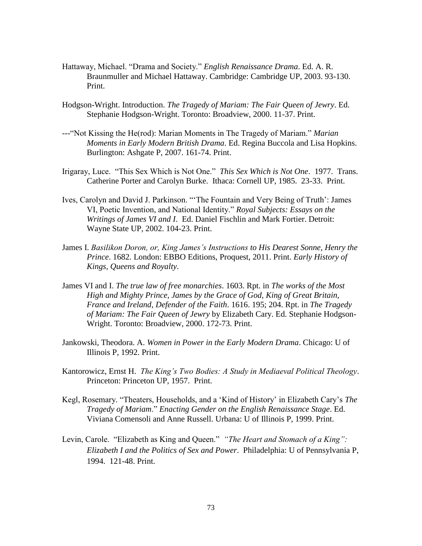- Hattaway, Michael. "Drama and Society." *English Renaissance Drama*. Ed. A. R. Braunmuller and Michael Hattaway. Cambridge: Cambridge UP, 2003. 93-130. Print.
- Hodgson-Wright. Introduction. *The Tragedy of Mariam: The Fair Queen of Jewry*. Ed. Stephanie Hodgson-Wright. Toronto: Broadview, 2000. 11-37. Print.
- ---"Not Kissing the He(rod): Marian Moments in The Tragedy of Mariam." *Marian Moments in Early Modern British Drama*. Ed. Regina Buccola and Lisa Hopkins. Burlington: Ashgate P, 2007. 161-74. Print.
- Irigaray, Luce. "This Sex Which is Not One." *This Sex Which is Not One*. 1977. Trans. Catherine Porter and Carolyn Burke. Ithaca: Cornell UP, 1985. 23-33. Print.
- Ives, Carolyn and David J. Parkinson. ""The Fountain and Very Being of Truth": James VI, Poetic Invention, and National Identity." *Royal Subjects: Essays on the Writings of James VI and I*. Ed. Daniel Fischlin and Mark Fortier. Detroit: Wayne State UP, 2002. 104-23. Print.
- James I. *Basilikon Doron, or, King James's Instructions to His Dearest Sonne, Henry the Prince*. 1682. London: EBBO Editions, Proquest, 2011. Print. *Early History of Kings, Queens and Royalty*.
- James VI and I. *The true law of free monarchies*. 1603. Rpt. in *The works of the Most High and Mighty Prince, James by the Grace of God, King of Great Britain, France and Ireland, Defender of the Faith*. 1616. 195; 204. Rpt. in *The Tragedy of Mariam: The Fair Queen of Jewry* by Elizabeth Cary. Ed. Stephanie Hodgson-Wright. Toronto: Broadview, 2000. 172-73. Print.
- Jankowski, Theodora. A. *Women in Power in the Early Modern Drama*. Chicago: U of Illinois P, 1992. Print.
- Kantorowicz, Ernst H. *The King's Two Bodies: A Study in Mediaeval Political Theology*. Princeton: Princeton UP, 1957. Print.
- Kegl, Rosemary. "Theaters, Households, and a "Kind of History" in Elizabeth Cary"s *The Tragedy of Mariam*." *Enacting Gender on the English Renaissance Stage*. Ed. Viviana Comensoli and Anne Russell. Urbana: U of Illinois P, 1999. Print.
- Levin, Carole. "Elizabeth as King and Queen." *"The Heart and Stomach of a King": Elizabeth I and the Politics of Sex and Power*. Philadelphia: U of Pennsylvania P, 1994. 121-48. Print.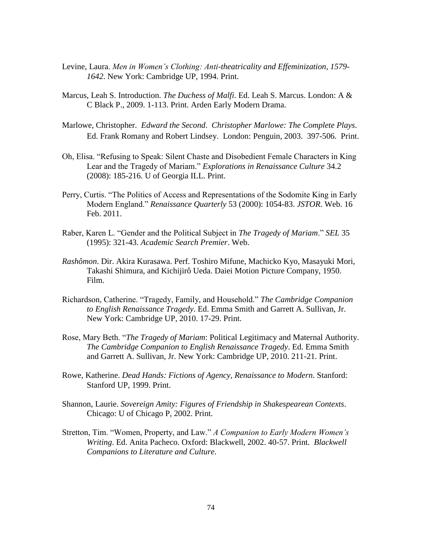- Levine, Laura. *Men in Women's Clothing: Anti-theatricality and Effeminization, 1579- 1642*. New York: Cambridge UP, 1994. Print.
- Marcus, Leah S. Introduction. *The Duchess of Malfi*. Ed. Leah S. Marcus. London: A & C Black P., 2009. 1-113. Print. Arden Early Modern Drama.
- Marlowe, Christopher. *Edward the Second*. *Christopher Marlowe: The Complete Plays*. Ed. Frank Romany and Robert Lindsey. London: Penguin, 2003. 397-506. Print.
- Oh, Elisa. "Refusing to Speak: Silent Chaste and Disobedient Female Characters in King Lear and the Tragedy of Mariam." *Explorations in Renaissance Culture* 34.2 (2008): 185-216. U of Georgia ILL. Print.
- Perry, Curtis. "The Politics of Access and Representations of the Sodomite King in Early Modern England." *Renaissance Quarterly* 53 (2000): 1054-83. *JSTOR*. Web. 16 Feb. 2011.
- Raber, Karen L. "Gender and the Political Subject in *The Tragedy of Mariam*." *SEL* 35 (1995): 321-43. *Academic Search Premier*. Web.
- *Rashômon*. Dir. Akira Kurasawa. Perf. Toshiro Mifune, Machicko Kyo, Masayuki Mori, Takashi Shimura, and [Kichijirô Ueda.](http://www.imdb.com/name/nm0879918/) Daiei Motion Picture Company, 1950. Film.
- Richardson, Catherine. "Tragedy, Family, and Household." *The Cambridge Companion to English Renaissance Tragedy*. Ed. Emma Smith and Garrett A. Sullivan, Jr. New York: Cambridge UP, 2010. 17-29. Print.
- Rose, Mary Beth. "*The Tragedy of Mariam*: Political Legitimacy and Maternal Authority. *The Cambridge Companion to English Renaissance Tragedy*. Ed. Emma Smith and Garrett A. Sullivan, Jr. New York: Cambridge UP, 2010. 211-21. Print.
- Rowe, Katherine. *Dead Hands: Fictions of Agency, Renaissance to Modern*. Stanford: Stanford UP, 1999. Print.
- Shannon, Laurie. *Sovereign Amity: Figures of Friendship in Shakespearean Contexts*. Chicago: U of Chicago P, 2002. Print.
- Stretton, Tim. "Women, Property, and Law." *A Companion to Early Modern Women's Writing*. Ed. Anita Pacheco. Oxford: Blackwell, 2002. 40-57. Print. *Blackwell Companions to Literature and Culture.*